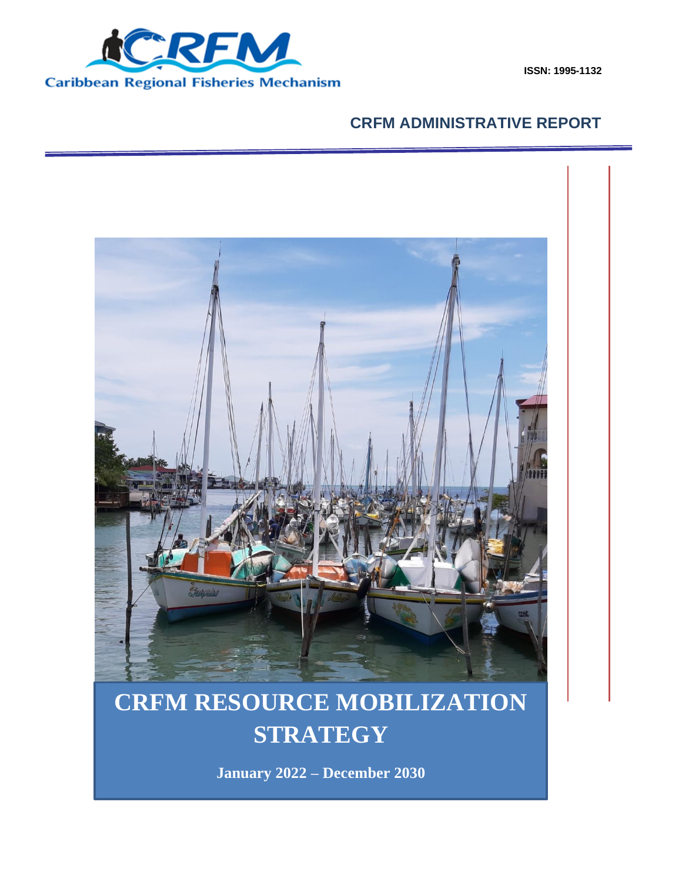

**ISSN: 1995-1132**

## **CRFM ADMINISTRATIVE REPORT**



## M NESOURCE MODIFIZATION **CRFM RESOURCE MOBILIZATION STRATEGY**

Mobilization Strategy 2022 – December 2030 **January 2022 – December 2030**

January 2022 - December 2030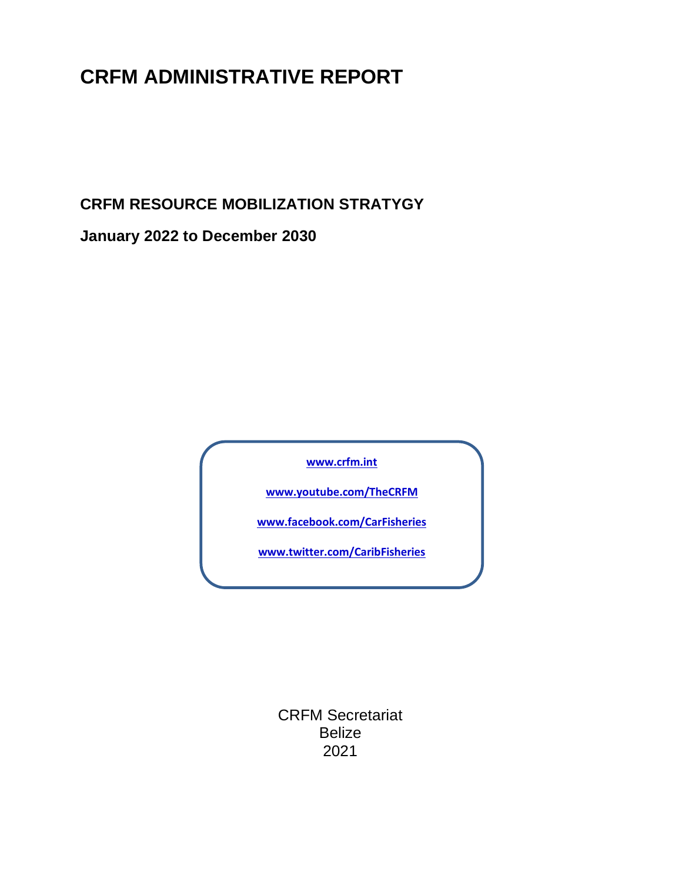# **CRFM ADMINISTRATIVE REPORT**

**CRFM RESOURCE MOBILIZATION STRATYGY** 

**January 2022 to December 2030**

**[www.crfm.int](http://www.crfm.int/)**

**[www.youtube.com/TheCRFM](http://www.youtube.com/TheCRFM)**

**[www.facebook.com/CarFisheries](http://www.facebook.com/CarFisheries)**

**[www.twitter.com/CaribFisheries](http://www.twitter.com/CaribFisheries)**

CRFM Secretariat Belize 2021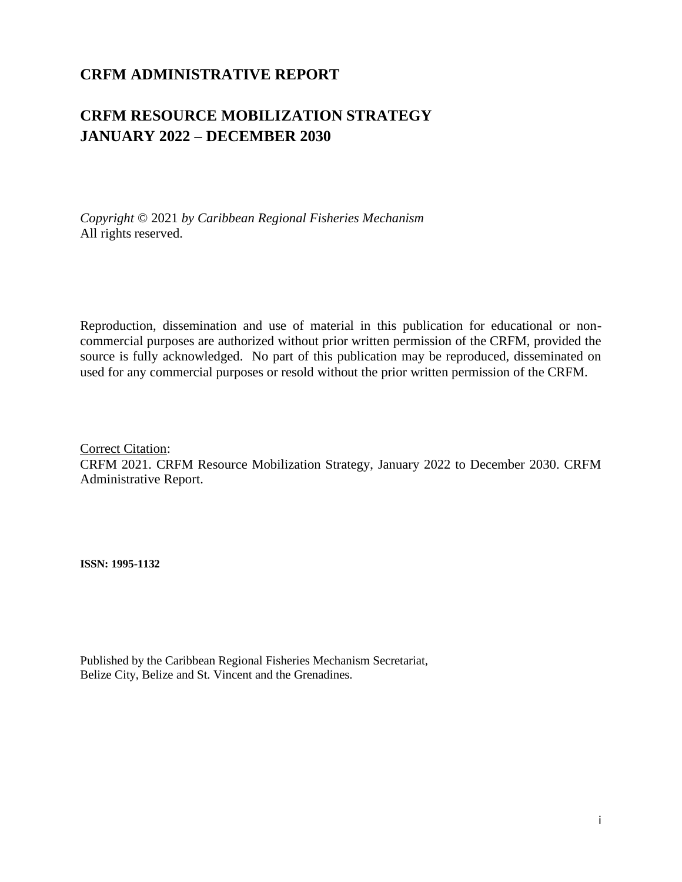## **CRFM ADMINISTRATIVE REPORT**

## **CRFM RESOURCE MOBILIZATION STRATEGY JANUARY 2022 – DECEMBER 2030**

*Copyright* © 2021 *by Caribbean Regional Fisheries Mechanism* All rights reserved.

Reproduction, dissemination and use of material in this publication for educational or noncommercial purposes are authorized without prior written permission of the CRFM, provided the source is fully acknowledged. No part of this publication may be reproduced, disseminated on used for any commercial purposes or resold without the prior written permission of the CRFM.

Correct Citation: CRFM 2021. CRFM Resource Mobilization Strategy, January 2022 to December 2030. CRFM Administrative Report.

**ISSN: 1995-1132**

Published by the Caribbean Regional Fisheries Mechanism Secretariat, Belize City, Belize and St. Vincent and the Grenadines.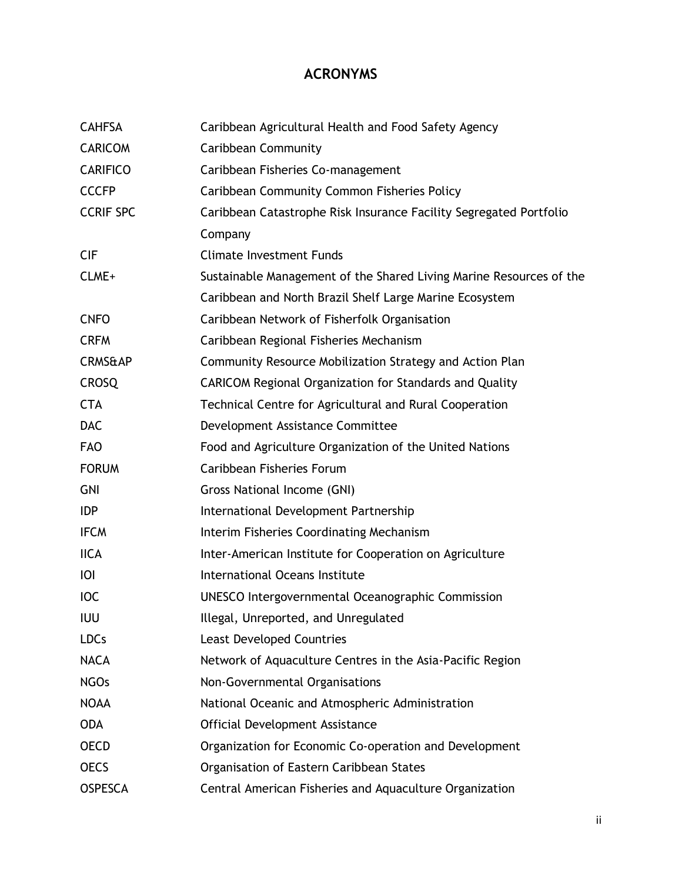## **ACRONYMS**

| <b>CAHFSA</b>      | Caribbean Agricultural Health and Food Safety Agency                |  |  |
|--------------------|---------------------------------------------------------------------|--|--|
| <b>CARICOM</b>     | <b>Caribbean Community</b>                                          |  |  |
| <b>CARIFICO</b>    | Caribbean Fisheries Co-management                                   |  |  |
| <b>CCCFP</b>       | <b>Caribbean Community Common Fisheries Policy</b>                  |  |  |
| <b>CCRIF SPC</b>   | Caribbean Catastrophe Risk Insurance Facility Segregated Portfolio  |  |  |
|                    | Company                                                             |  |  |
| <b>CIF</b>         | <b>Climate Investment Funds</b>                                     |  |  |
| CLME+              | Sustainable Management of the Shared Living Marine Resources of the |  |  |
|                    | Caribbean and North Brazil Shelf Large Marine Ecosystem             |  |  |
| <b>CNFO</b>        | Caribbean Network of Fisherfolk Organisation                        |  |  |
| <b>CRFM</b>        | Caribbean Regional Fisheries Mechanism                              |  |  |
| <b>CRMS&amp;AP</b> | Community Resource Mobilization Strategy and Action Plan            |  |  |
| <b>CROSQ</b>       | <b>CARICOM Regional Organization for Standards and Quality</b>      |  |  |
| <b>CTA</b>         | Technical Centre for Agricultural and Rural Cooperation             |  |  |
| <b>DAC</b>         | Development Assistance Committee                                    |  |  |
| <b>FAO</b>         | Food and Agriculture Organization of the United Nations             |  |  |
| <b>FORUM</b>       | Caribbean Fisheries Forum                                           |  |  |
| <b>GNI</b>         | Gross National Income (GNI)                                         |  |  |
| <b>IDP</b>         | International Development Partnership                               |  |  |
| <b>IFCM</b>        | Interim Fisheries Coordinating Mechanism                            |  |  |
| <b>IICA</b>        | Inter-American Institute for Cooperation on Agriculture             |  |  |
| O                  | International Oceans Institute                                      |  |  |
| <b>IOC</b>         | <b>UNESCO Intergovernmental Oceanographic Commission</b>            |  |  |
| <b>IUU</b>         | Illegal, Unreported, and Unregulated                                |  |  |
| <b>LDCs</b>        | <b>Least Developed Countries</b>                                    |  |  |
| <b>NACA</b>        | Network of Aquaculture Centres in the Asia-Pacific Region           |  |  |
| <b>NGOs</b>        | Non-Governmental Organisations                                      |  |  |
| <b>NOAA</b>        | National Oceanic and Atmospheric Administration                     |  |  |
| <b>ODA</b>         | Official Development Assistance                                     |  |  |
| <b>OECD</b>        | Organization for Economic Co-operation and Development              |  |  |
| <b>OECS</b>        | Organisation of Eastern Caribbean States                            |  |  |
| <b>OSPESCA</b>     | Central American Fisheries and Aquaculture Organization             |  |  |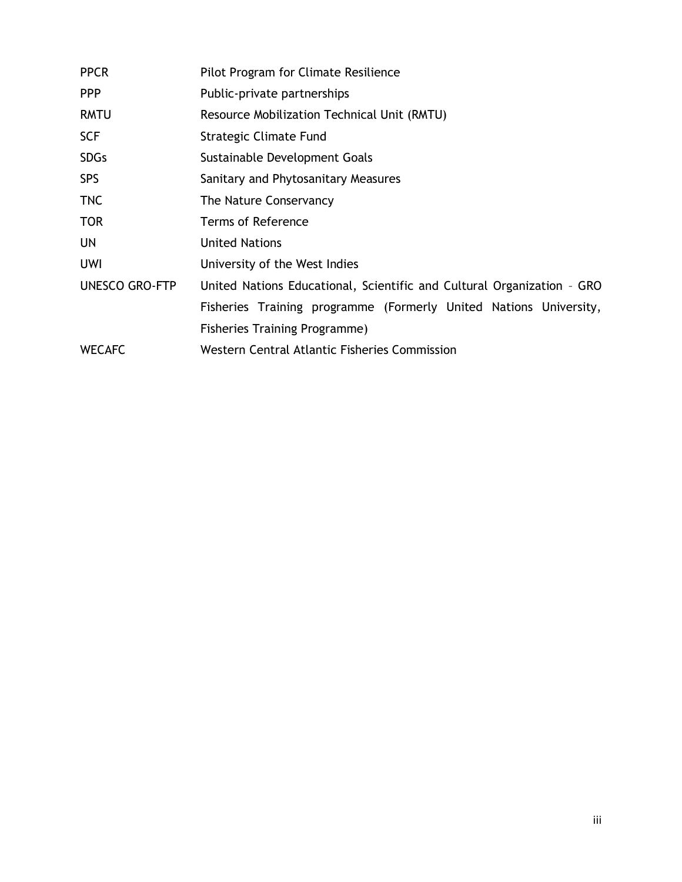| <b>PPCR</b>           | Pilot Program for Climate Resilience                                   |  |  |  |
|-----------------------|------------------------------------------------------------------------|--|--|--|
| <b>PPP</b>            | Public-private partnerships                                            |  |  |  |
| <b>RMTU</b>           | Resource Mobilization Technical Unit (RMTU)                            |  |  |  |
| <b>SCF</b>            | Strategic Climate Fund                                                 |  |  |  |
| <b>SDGs</b>           | Sustainable Development Goals                                          |  |  |  |
| <b>SPS</b>            | Sanitary and Phytosanitary Measures                                    |  |  |  |
| <b>TNC</b>            | The Nature Conservancy                                                 |  |  |  |
| <b>TOR</b>            | Terms of Reference                                                     |  |  |  |
| UN                    | <b>United Nations</b>                                                  |  |  |  |
| <b>UWI</b>            | University of the West Indies                                          |  |  |  |
| <b>UNESCO GRO-FTP</b> | United Nations Educational, Scientific and Cultural Organization - GRO |  |  |  |
|                       | Fisheries Training programme (Formerly United Nations University,      |  |  |  |
|                       | <b>Fisheries Training Programme)</b>                                   |  |  |  |
| <b>WECAFC</b>         | Western Central Atlantic Fisheries Commission                          |  |  |  |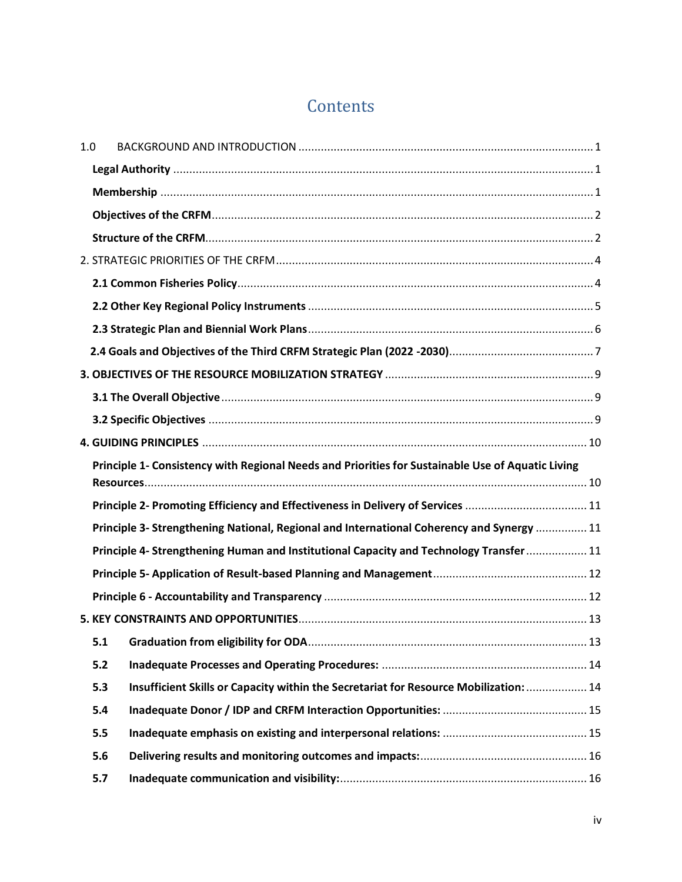# **Contents**

| 1.0 |     |                                                                                                   |  |
|-----|-----|---------------------------------------------------------------------------------------------------|--|
|     |     |                                                                                                   |  |
|     |     |                                                                                                   |  |
|     |     |                                                                                                   |  |
|     |     |                                                                                                   |  |
|     |     |                                                                                                   |  |
|     |     |                                                                                                   |  |
|     |     |                                                                                                   |  |
|     |     |                                                                                                   |  |
|     |     |                                                                                                   |  |
|     |     |                                                                                                   |  |
|     |     |                                                                                                   |  |
|     |     |                                                                                                   |  |
|     |     |                                                                                                   |  |
|     |     | Principle 1- Consistency with Regional Needs and Priorities for Sustainable Use of Aquatic Living |  |
|     |     |                                                                                                   |  |
|     |     | Principle 2- Promoting Efficiency and Effectiveness in Delivery of Services 11                    |  |
|     |     | Principle 3- Strengthening National, Regional and International Coherency and Synergy  11         |  |
|     |     | Principle 4- Strengthening Human and Institutional Capacity and Technology Transfer  11           |  |
|     |     |                                                                                                   |  |
|     |     |                                                                                                   |  |
|     |     |                                                                                                   |  |
|     | 5.1 |                                                                                                   |  |
|     | 5.2 |                                                                                                   |  |
|     | 5.3 | Insufficient Skills or Capacity within the Secretariat for Resource Mobilization:  14             |  |
|     | 5.4 |                                                                                                   |  |
|     | 5.5 |                                                                                                   |  |
|     | 5.6 |                                                                                                   |  |
|     | 5.7 |                                                                                                   |  |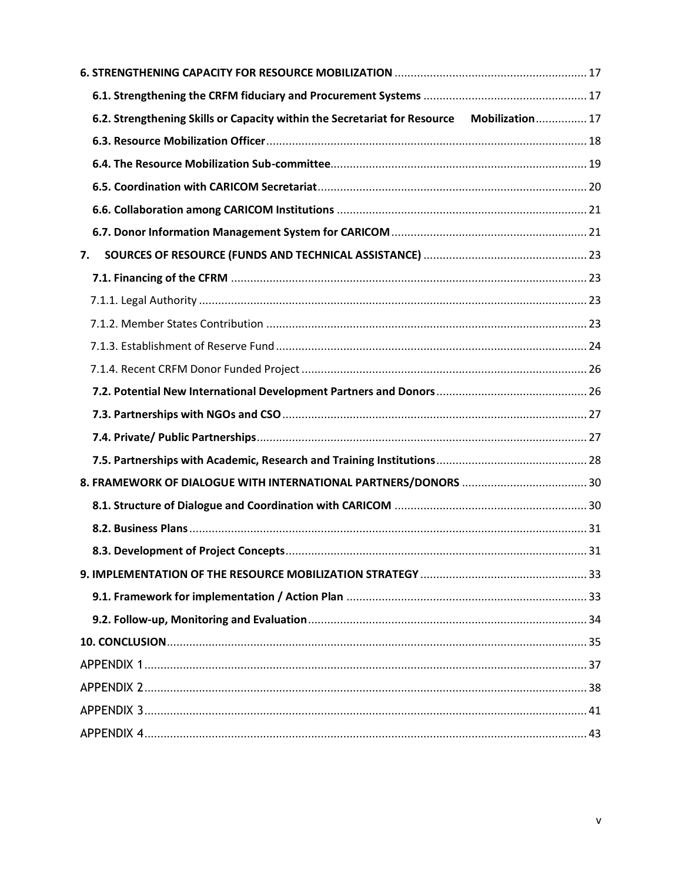| 6.2. Strengthening Skills or Capacity within the Secretariat for Resource Mobilization 17 |  |
|-------------------------------------------------------------------------------------------|--|
|                                                                                           |  |
|                                                                                           |  |
|                                                                                           |  |
|                                                                                           |  |
|                                                                                           |  |
| 7.                                                                                        |  |
|                                                                                           |  |
|                                                                                           |  |
|                                                                                           |  |
|                                                                                           |  |
|                                                                                           |  |
|                                                                                           |  |
|                                                                                           |  |
|                                                                                           |  |
|                                                                                           |  |
|                                                                                           |  |
|                                                                                           |  |
|                                                                                           |  |
|                                                                                           |  |
|                                                                                           |  |
|                                                                                           |  |
|                                                                                           |  |
|                                                                                           |  |
|                                                                                           |  |
|                                                                                           |  |
|                                                                                           |  |
|                                                                                           |  |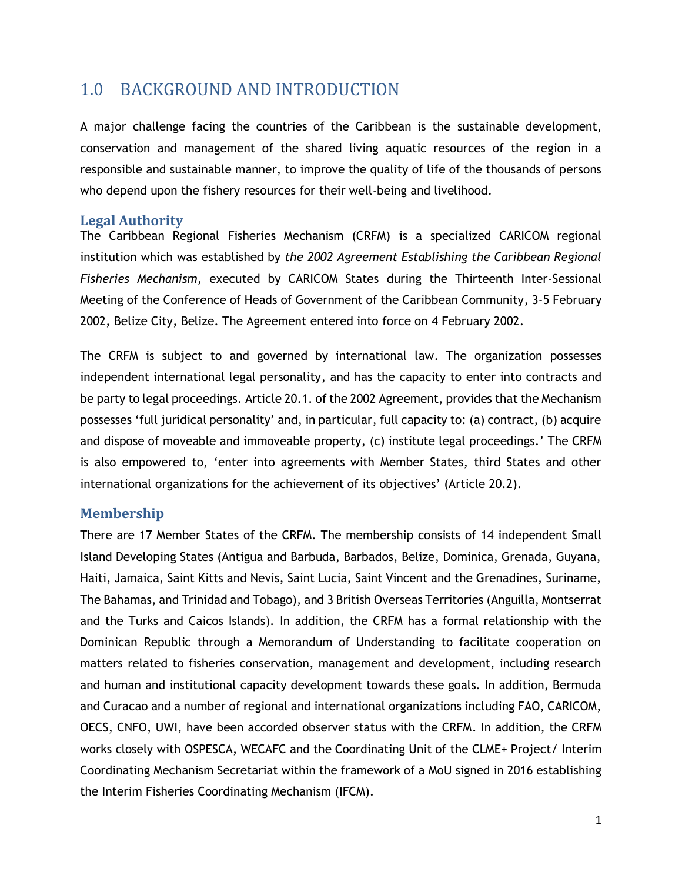## <span id="page-7-0"></span>1.0 BACKGROUND AND INTRODUCTION

A major challenge facing the countries of the Caribbean is the sustainable development, conservation and management of the shared living aquatic resources of the region in a responsible and sustainable manner, to improve the quality of life of the thousands of persons who depend upon the fishery resources for their well-being and livelihood.

#### <span id="page-7-1"></span>**Legal Authority**

The Caribbean Regional Fisheries Mechanism (CRFM) is a specialized CARICOM regional institution which was established by *the 2002 Agreement Establishing the Caribbean Regional Fisheries Mechanism,* executed by CARICOM States during the Thirteenth Inter-Sessional Meeting of the Conference of Heads of Government of the Caribbean Community, 3-5 February 2002, Belize City, Belize. The Agreement entered into force on 4 February 2002.

The CRFM is subject to and governed by international law. The organization possesses independent international legal personality, and has the capacity to enter into contracts and be party to legal proceedings. Article 20.1. of the 2002 Agreement, provides that the Mechanism possesses 'full juridical personality' and, in particular, full capacity to: (a) contract, (b) acquire and dispose of moveable and immoveable property, (c) institute legal proceedings.' The CRFM is also empowered to, 'enter into agreements with Member States, third States and other international organizations for the achievement of its objectives' (Article 20.2).

#### <span id="page-7-2"></span>**Membership**

There are 17 Member States of the CRFM. The membership consists of 14 independent Small Island Developing States (Antigua and Barbuda, Barbados, Belize, Dominica, Grenada, Guyana, Haiti, Jamaica, Saint Kitts and Nevis, Saint Lucia, Saint Vincent and the Grenadines, Suriname, The Bahamas, and Trinidad and Tobago), and 3 British Overseas Territories (Anguilla, Montserrat and the Turks and Caicos Islands). In addition, the CRFM has a formal relationship with the Dominican Republic through a Memorandum of Understanding to facilitate cooperation on matters related to fisheries conservation, management and development, including research and human and institutional capacity development towards these goals. In addition, Bermuda and Curacao and a number of regional and international organizations including FAO, CARICOM, OECS, CNFO, UWI, have been accorded observer status with the CRFM. In addition, the CRFM works closely with OSPESCA, WECAFC and the Coordinating Unit of the CLME+ Project/ Interim Coordinating Mechanism Secretariat within the framework of a MoU signed in 2016 establishing the Interim Fisheries Coordinating Mechanism (IFCM).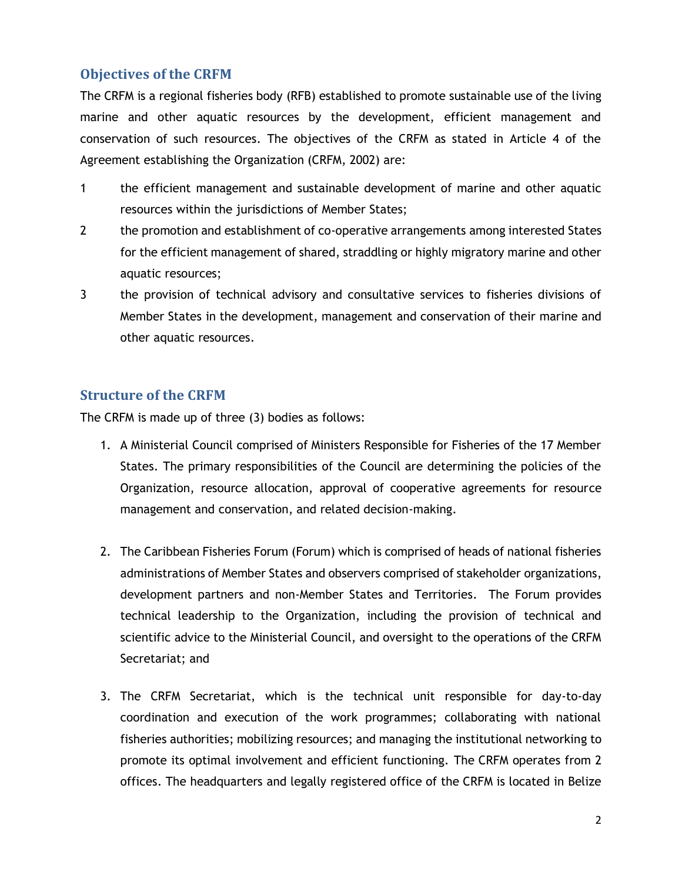## <span id="page-8-0"></span>**Objectives of the CRFM**

The CRFM is a regional fisheries body (RFB) established to promote sustainable use of the living marine and other aquatic resources by the development, efficient management and conservation of such resources. The objectives of the CRFM as stated in Article 4 of the Agreement establishing the Organization (CRFM, 2002) are:

- 1 the efficient management and sustainable development of marine and other aquatic resources within the jurisdictions of Member States;
- 2 the promotion and establishment of co-operative arrangements among interested States for the efficient management of shared, straddling or highly migratory marine and other aquatic resources;
- 3 the provision of technical advisory and consultative services to fisheries divisions of Member States in the development, management and conservation of their marine and other aquatic resources.

### <span id="page-8-1"></span>**Structure of the CRFM**

The CRFM is made up of three (3) bodies as follows:

- 1. A Ministerial Council comprised of Ministers Responsible for Fisheries of the 17 Member States. The primary responsibilities of the Council are determining the policies of the Organization, resource allocation, approval of cooperative agreements for resource management and conservation, and related decision-making.
- 2. The Caribbean Fisheries Forum (Forum) which is comprised of heads of national fisheries administrations of Member States and observers comprised of stakeholder organizations, development partners and non-Member States and Territories. The Forum provides technical leadership to the Organization, including the provision of technical and scientific advice to the Ministerial Council, and oversight to the operations of the CRFM Secretariat; and
- 3. The CRFM Secretariat, which is the technical unit responsible for day-to-day coordination and execution of the work programmes; collaborating with national fisheries authorities; mobilizing resources; and managing the institutional networking to promote its optimal involvement and efficient functioning. The CRFM operates from 2 offices. The headquarters and legally registered office of the CRFM is located in Belize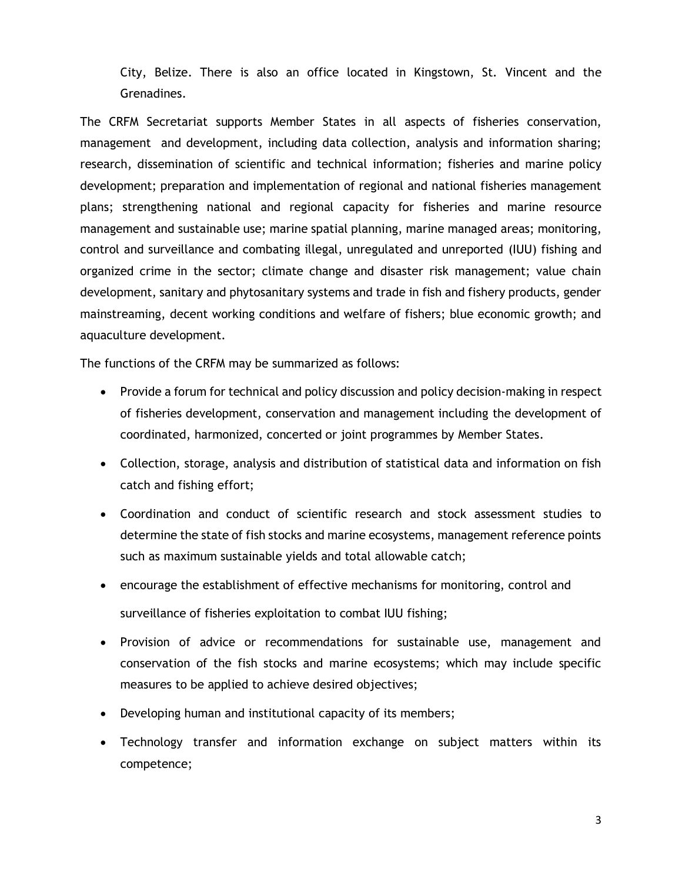City, Belize. There is also an office located in Kingstown, St. Vincent and the Grenadines.

The CRFM Secretariat supports Member States in all aspects of fisheries conservation, management and development, including data collection, analysis and information sharing; research, dissemination of scientific and technical information; fisheries and marine policy development; preparation and implementation of regional and national fisheries management plans; strengthening national and regional capacity for fisheries and marine resource management and sustainable use; marine spatial planning, marine managed areas; monitoring, control and surveillance and combating illegal, unregulated and unreported (IUU) fishing and organized crime in the sector; climate change and disaster risk management; value chain development, sanitary and phytosanitary systems and trade in fish and fishery products, gender mainstreaming, decent working conditions and welfare of fishers; blue economic growth; and aquaculture development.

The functions of the CRFM may be summarized as follows:

- Provide a forum for technical and policy discussion and policy decision-making in respect of fisheries development, conservation and management including the development of coordinated, harmonized, concerted or joint programmes by Member States.
- Collection, storage, analysis and distribution of statistical data and information on fish catch and fishing effort;
- Coordination and conduct of scientific research and stock assessment studies to determine the state of fish stocks and marine ecosystems, management reference points such as maximum sustainable yields and total allowable catch;
- encourage the establishment of effective mechanisms for monitoring, control and surveillance of fisheries exploitation to combat IUU fishing;
- Provision of advice or recommendations for sustainable use, management and conservation of the fish stocks and marine ecosystems; which may include specific measures to be applied to achieve desired objectives;
- Developing human and institutional capacity of its members;
- Technology transfer and information exchange on subject matters within its competence;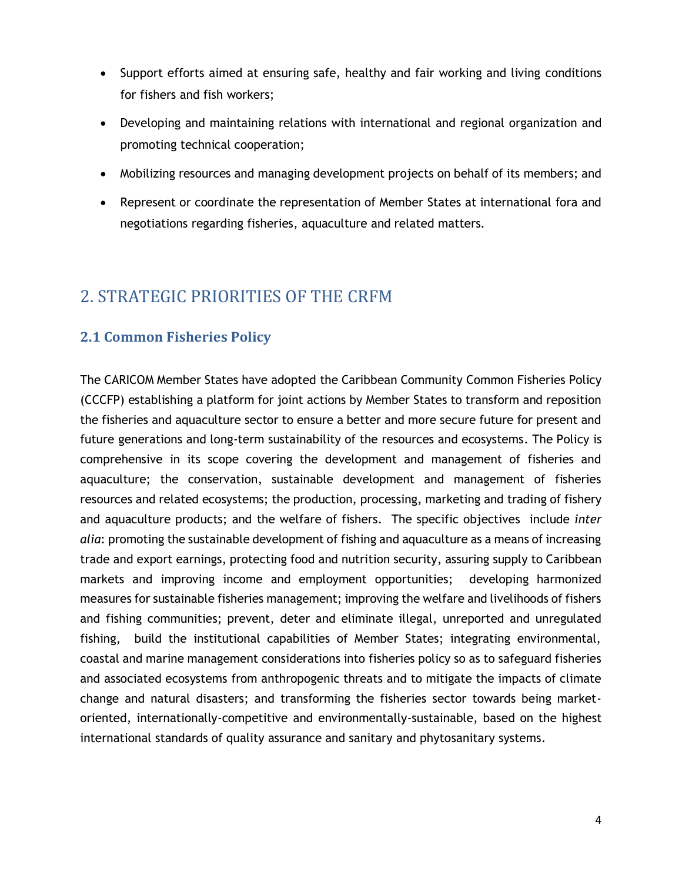- Support efforts aimed at ensuring safe, healthy and fair working and living conditions for fishers and fish workers;
- Developing and maintaining relations with international and regional organization and promoting technical cooperation;
- Mobilizing resources and managing development projects on behalf of its members; and
- Represent or coordinate the representation of Member States at international fora and negotiations regarding fisheries, aquaculture and related matters.

## <span id="page-10-0"></span>2. STRATEGIC PRIORITIES OF THE CRFM

## <span id="page-10-1"></span>**2.1 Common Fisheries Policy**

The CARICOM Member States have adopted the Caribbean Community Common Fisheries Policy (CCCFP) establishing a platform for joint actions by Member States to transform and reposition the fisheries and aquaculture sector to ensure a better and more secure future for present and future generations and long-term sustainability of the resources and ecosystems. The Policy is comprehensive in its scope covering the development and management of fisheries and aquaculture; the conservation, sustainable development and management of fisheries resources and related ecosystems; the production, processing, marketing and trading of fishery and aquaculture products; and the welfare of fishers. The specific objectives include *inter alia*: promoting the sustainable development of fishing and aquaculture as a means of increasing trade and export earnings, protecting food and nutrition security, assuring supply to Caribbean markets and improving income and employment opportunities; developing harmonized measures for sustainable fisheries management; improving the welfare and livelihoods of fishers and fishing communities; prevent, deter and eliminate illegal, unreported and unregulated fishing, build the institutional capabilities of Member States; integrating environmental, coastal and marine management considerations into fisheries policy so as to safeguard fisheries and associated ecosystems from anthropogenic threats and to mitigate the impacts of climate change and natural disasters; and transforming the fisheries sector towards being marketoriented, internationally-competitive and environmentally-sustainable, based on the highest international standards of quality assurance and sanitary and phytosanitary systems.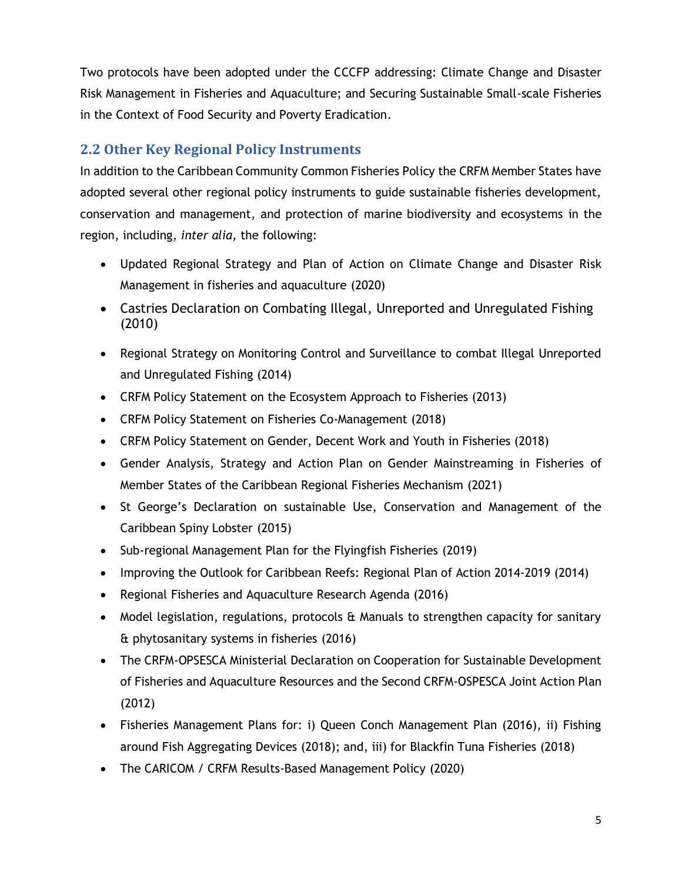Two protocols have been adopted under the CCCFP addressing: Climate Change and Disaster Risk Management in Fisheries and Aquaculture; and Securing Sustainable Small-scale Fisheries in the Context of Food Security and Poverty Eradication.

## <span id="page-11-0"></span>**2.2 Other Key Regional Policy Instruments**

In addition to the Caribbean Community Common Fisheries Policy the CRFM Member States have adopted several other regional policy instruments to guide sustainable fisheries development, conservation and management, and protection of marine biodiversity and ecosystems in the region, including, *inter alia,* the following:

- Updated Regional Strategy and Plan of Action on Climate Change and Disaster Risk Management in fisheries and aquaculture (2020)
- Castries Declaration on Combating Illegal, Unreported and Unregulated Fishing (2010)
- Regional Strategy on Monitoring Control and Surveillance to combat Illegal Unreported and Unregulated Fishing (2014)
- CRFM Policy Statement on the Ecosystem Approach to Fisheries (2013)
- CRFM Policy Statement on Fisheries Co-Management (2018)
- CRFM Policy Statement on Gender, Decent Work and Youth in Fisheries (2018)
- Gender Analysis, Strategy and Action Plan on Gender Mainstreaming in Fisheries of Member States of the Caribbean Regional Fisheries Mechanism (2021)
- St George's Declaration on sustainable Use, Conservation and Management of the Caribbean Spiny Lobster (2015)
- Sub-regional Management Plan for the Flyingfish Fisheries (2019)
- Improving the Outlook for Caribbean Reefs: Regional Plan of Action 2014-2019 (2014)
- Regional Fisheries and Aquaculture Research Agenda (2016)
- Model legislation, regulations, protocols & Manuals to strengthen capacity for sanitary & phytosanitary systems in fisheries (2016)
- The CRFM-OPSESCA Ministerial Declaration on Cooperation for Sustainable Development of Fisheries and Aquaculture Resources and the Second CRFM-OSPESCA Joint Action Plan (2012)
- Fisheries Management Plans for: i) Queen Conch Management Plan (2016), ii) Fishing around Fish Aggregating Devices (2018); and, iii) for Blackfin Tuna Fisheries (2018)
- The CARICOM / CRFM Results-Based Management Policy (2020)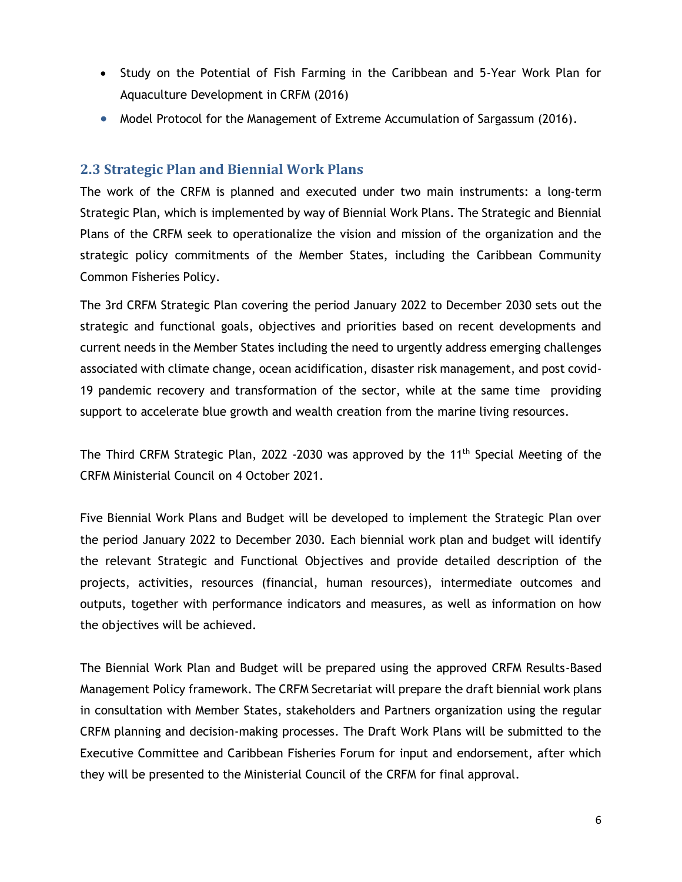- Study on the Potential of Fish Farming in the Caribbean and 5-Year Work Plan for Aquaculture Development in CRFM (2016)
- Model Protocol for the Management of Extreme Accumulation of Sargassum (2016).

### <span id="page-12-0"></span>**2.3 Strategic Plan and Biennial Work Plans**

The work of the CRFM is planned and executed under two main instruments: a long-term Strategic Plan, which is implemented by way of Biennial Work Plans. The Strategic and Biennial Plans of the CRFM seek to operationalize the vision and mission of the organization and the strategic policy commitments of the Member States, including the Caribbean Community Common Fisheries Policy.

The 3rd CRFM Strategic Plan covering the period January 2022 to December 2030 sets out the strategic and functional goals, objectives and priorities based on recent developments and current needs in the Member States including the need to urgently address emerging challenges associated with climate change, ocean acidification, disaster risk management, and post covid-19 pandemic recovery and transformation of the sector, while at the same time providing support to accelerate blue growth and wealth creation from the marine living resources.

The Third CRFM Strategic Plan, 2022 -2030 was approved by the 11<sup>th</sup> Special Meeting of the CRFM Ministerial Council on 4 October 2021.

Five Biennial Work Plans and Budget will be developed to implement the Strategic Plan over the period January 2022 to December 2030. Each biennial work plan and budget will identify the relevant Strategic and Functional Objectives and provide detailed description of the projects, activities, resources (financial, human resources), intermediate outcomes and outputs, together with performance indicators and measures, as well as information on how the objectives will be achieved.

The Biennial Work Plan and Budget will be prepared using the approved CRFM Results-Based Management Policy framework. The CRFM Secretariat will prepare the draft biennial work plans in consultation with Member States, stakeholders and Partners organization using the regular CRFM planning and decision-making processes. The Draft Work Plans will be submitted to the Executive Committee and Caribbean Fisheries Forum for input and endorsement, after which they will be presented to the Ministerial Council of the CRFM for final approval.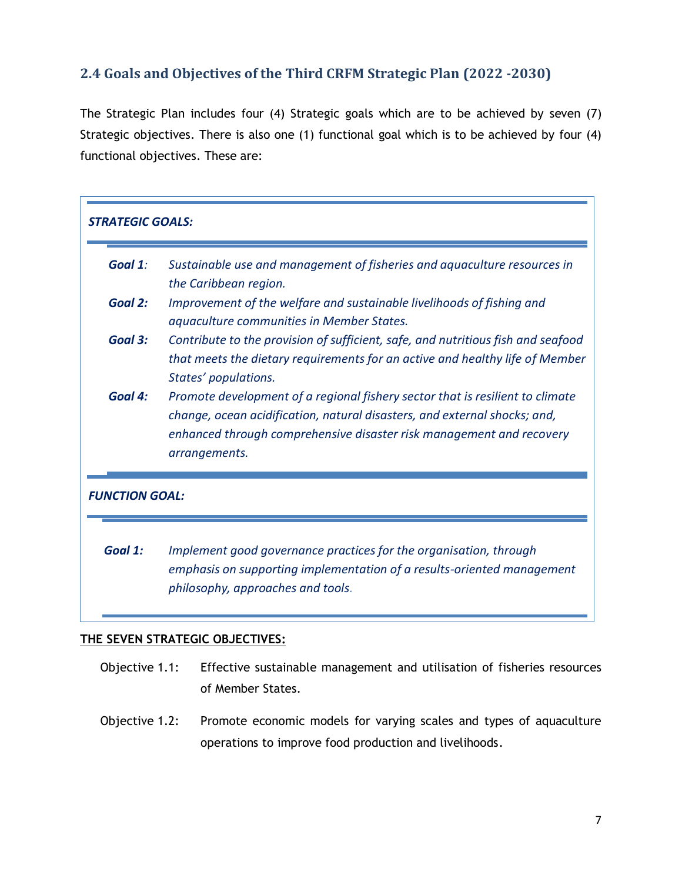## <span id="page-13-0"></span>**2.4 Goals and Objectives of the Third CRFM Strategic Plan (2022 -2030)**

The Strategic Plan includes four (4) Strategic goals which are to be achieved by seven (7) Strategic objectives. There is also one (1) functional goal which is to be achieved by four (4) functional objectives. These are:

| <b>STRATEGIC GOALS:</b> |                                                                                                                                                                                                                                                     |  |  |  |  |
|-------------------------|-----------------------------------------------------------------------------------------------------------------------------------------------------------------------------------------------------------------------------------------------------|--|--|--|--|
| Goal 1:                 | Sustainable use and management of fisheries and aquaculture resources in<br>the Caribbean region.                                                                                                                                                   |  |  |  |  |
| Goal 2:                 | Improvement of the welfare and sustainable livelihoods of fishing and<br>aquaculture communities in Member States.                                                                                                                                  |  |  |  |  |
| Goal 3:                 | Contribute to the provision of sufficient, safe, and nutritious fish and seafood<br>that meets the dietary requirements for an active and healthy life of Member<br>States' populations.                                                            |  |  |  |  |
| Goal 4:                 | Promote development of a regional fishery sector that is resilient to climate<br>change, ocean acidification, natural disasters, and external shocks; and,<br>enhanced through comprehensive disaster risk management and recovery<br>arrangements. |  |  |  |  |
| <b>FUNCTION GOAL:</b>   |                                                                                                                                                                                                                                                     |  |  |  |  |
| Goal 1:                 | Implement good governance practices for the organisation, through<br>emphasis on supporting implementation of a results-oriented management<br>philosophy, approaches and tools.                                                                    |  |  |  |  |

#### **THE SEVEN STRATEGIC OBJECTIVES:**

- Objective 1.1: Effective sustainable management and utilisation of fisheries resources of Member States.
- Objective 1.2: Promote economic models for varying scales and types of aquaculture operations to improve food production and livelihoods.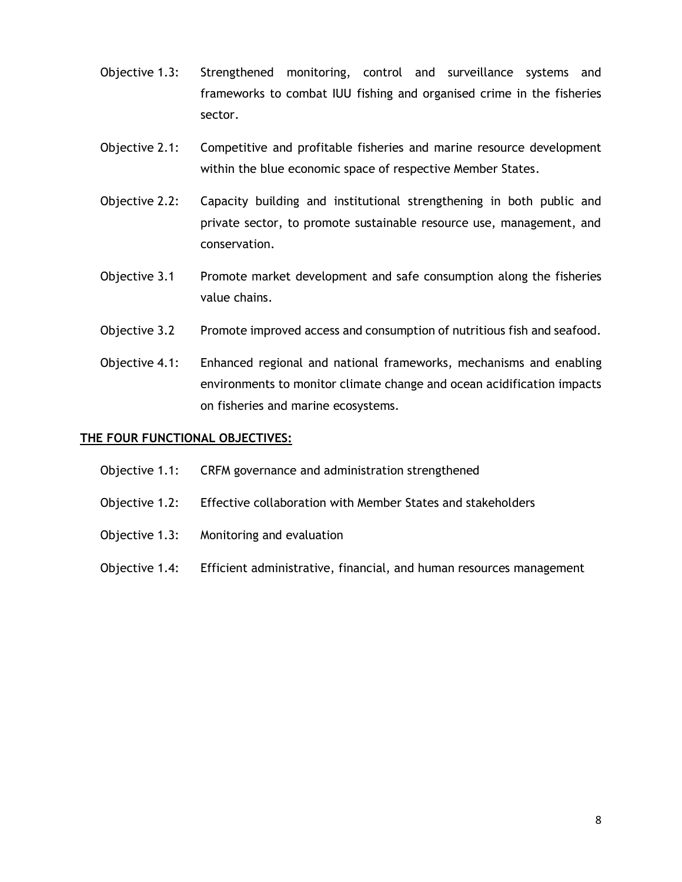- Objective 1.3: Strengthened monitoring, control and surveillance systems and frameworks to combat IUU fishing and organised crime in the fisheries sector.
- Objective 2.1: Competitive and profitable fisheries and marine resource development within the blue economic space of respective Member States.
- Objective 2.2: Capacity building and institutional strengthening in both public and private sector, to promote sustainable resource use, management, and conservation.
- Objective 3.1 Promote market development and safe consumption along the fisheries value chains.
- Objective 3.2 Promote improved access and consumption of nutritious fish and seafood.
- Objective 4.1: Enhanced regional and national frameworks, mechanisms and enabling environments to monitor climate change and ocean acidification impacts on fisheries and marine ecosystems.

#### **THE FOUR FUNCTIONAL OBJECTIVES:**

- Objective 1.1: CRFM governance and administration strengthened
- Objective 1.2: Effective collaboration with Member States and stakeholders
- Objective 1.3: Monitoring and evaluation
- Objective 1.4: Efficient administrative, financial, and human resources management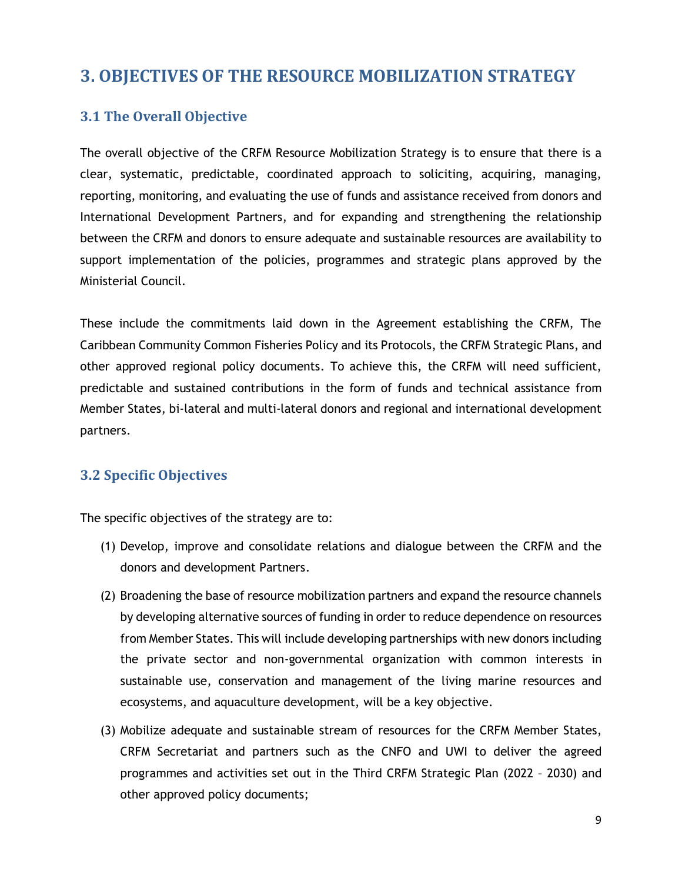## <span id="page-15-0"></span>**3. OBJECTIVES OF THE RESOURCE MOBILIZATION STRATEGY**

## <span id="page-15-1"></span>**3.1 The Overall Objective**

The overall objective of the CRFM Resource Mobilization Strategy is to ensure that there is a clear, systematic, predictable, coordinated approach to soliciting, acquiring, managing, reporting, monitoring, and evaluating the use of funds and assistance received from donors and International Development Partners, and for expanding and strengthening the relationship between the CRFM and donors to ensure adequate and sustainable resources are availability to support implementation of the policies, programmes and strategic plans approved by the Ministerial Council.

These include the commitments laid down in the Agreement establishing the CRFM, The Caribbean Community Common Fisheries Policy and its Protocols, the CRFM Strategic Plans, and other approved regional policy documents. To achieve this, the CRFM will need sufficient, predictable and sustained contributions in the form of funds and technical assistance from Member States, bi-lateral and multi-lateral donors and regional and international development partners.

## <span id="page-15-2"></span>**3.2 Specific Objectives**

The specific objectives of the strategy are to:

- (1) Develop, improve and consolidate relations and dialogue between the CRFM and the donors and development Partners.
- (2) Broadening the base of resource mobilization partners and expand the resource channels by developing alternative sources of funding in order to reduce dependence on resources from Member States. This will include developing partnerships with new donors including the private sector and non-governmental organization with common interests in sustainable use, conservation and management of the living marine resources and ecosystems, and aquaculture development, will be a key objective.
- (3) Mobilize adequate and sustainable stream of resources for the CRFM Member States, CRFM Secretariat and partners such as the CNFO and UWI to deliver the agreed programmes and activities set out in the Third CRFM Strategic Plan (2022 – 2030) and other approved policy documents;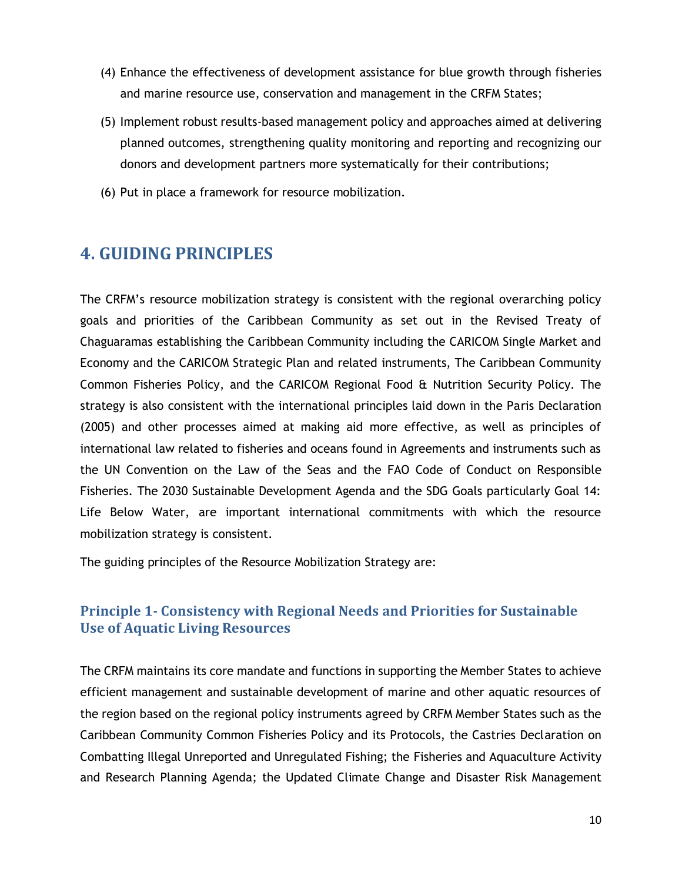- (4) Enhance the effectiveness of development assistance for blue growth through fisheries and marine resource use, conservation and management in the CRFM States;
- (5) Implement robust results-based management policy and approaches aimed at delivering planned outcomes, strengthening quality monitoring and reporting and recognizing our donors and development partners more systematically for their contributions;
- (6) Put in place a framework for resource mobilization.

## <span id="page-16-0"></span>**4. GUIDING PRINCIPLES**

The CRFM's resource mobilization strategy is consistent with the regional overarching policy goals and priorities of the Caribbean Community as set out in the Revised Treaty of Chaguaramas establishing the Caribbean Community including the CARICOM Single Market and Economy and the CARICOM Strategic Plan and related instruments, The Caribbean Community Common Fisheries Policy, and the CARICOM Regional Food & Nutrition Security Policy. The strategy is also consistent with the international principles laid down in the Paris Declaration (2005) and other processes aimed at making aid more effective, as well as principles of international law related to fisheries and oceans found in Agreements and instruments such as the UN Convention on the Law of the Seas and the FAO Code of Conduct on Responsible Fisheries. The 2030 Sustainable Development Agenda and the SDG Goals particularly Goal 14: Life Below Water, are important international commitments with which the resource mobilization strategy is consistent.

The guiding principles of the Resource Mobilization Strategy are:

## <span id="page-16-1"></span>**Principle 1- Consistency with Regional Needs and Priorities for Sustainable Use of Aquatic Living Resources**

The CRFM maintains its core mandate and functions in supporting the Member States to achieve efficient management and sustainable development of marine and other aquatic resources of the region based on the regional policy instruments agreed by CRFM Member States such as the Caribbean Community Common Fisheries Policy and its Protocols, the Castries Declaration on Combatting Illegal Unreported and Unregulated Fishing; the Fisheries and Aquaculture Activity and Research Planning Agenda; the Updated Climate Change and Disaster Risk Management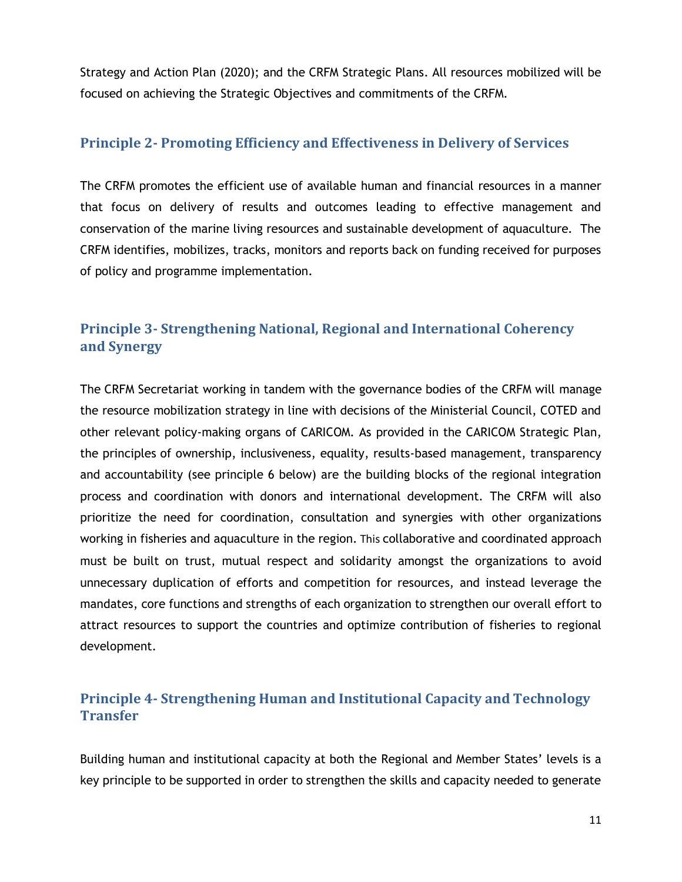Strategy and Action Plan (2020); and the CRFM Strategic Plans. All resources mobilized will be focused on achieving the Strategic Objectives and commitments of the CRFM.

## <span id="page-17-0"></span>**Principle 2- Promoting Efficiency and Effectiveness in Delivery of Services**

The CRFM promotes the efficient use of available human and financial resources in a manner that focus on delivery of results and outcomes leading to effective management and conservation of the marine living resources and sustainable development of aquaculture. The CRFM identifies, mobilizes, tracks, monitors and reports back on funding received for purposes of policy and programme implementation.

## <span id="page-17-1"></span>**Principle 3- Strengthening National, Regional and International Coherency and Synergy**

The CRFM Secretariat working in tandem with the governance bodies of the CRFM will manage the resource mobilization strategy in line with decisions of the Ministerial Council, COTED and other relevant policy-making organs of CARICOM. As provided in the CARICOM Strategic Plan, the principles of ownership, inclusiveness, equality, results-based management, transparency and accountability (see principle 6 below) are the building blocks of the regional integration process and coordination with donors and international development. The CRFM will also prioritize the need for coordination, consultation and synergies with other organizations working in fisheries and aquaculture in the region. This collaborative and coordinated approach must be built on trust, mutual respect and solidarity amongst the organizations to avoid unnecessary duplication of efforts and competition for resources, and instead leverage the mandates, core functions and strengths of each organization to strengthen our overall effort to attract resources to support the countries and optimize contribution of fisheries to regional development.

## <span id="page-17-2"></span>**Principle 4- Strengthening Human and Institutional Capacity and Technology Transfer**

Building human and institutional capacity at both the Regional and Member States' levels is a key principle to be supported in order to strengthen the skills and capacity needed to generate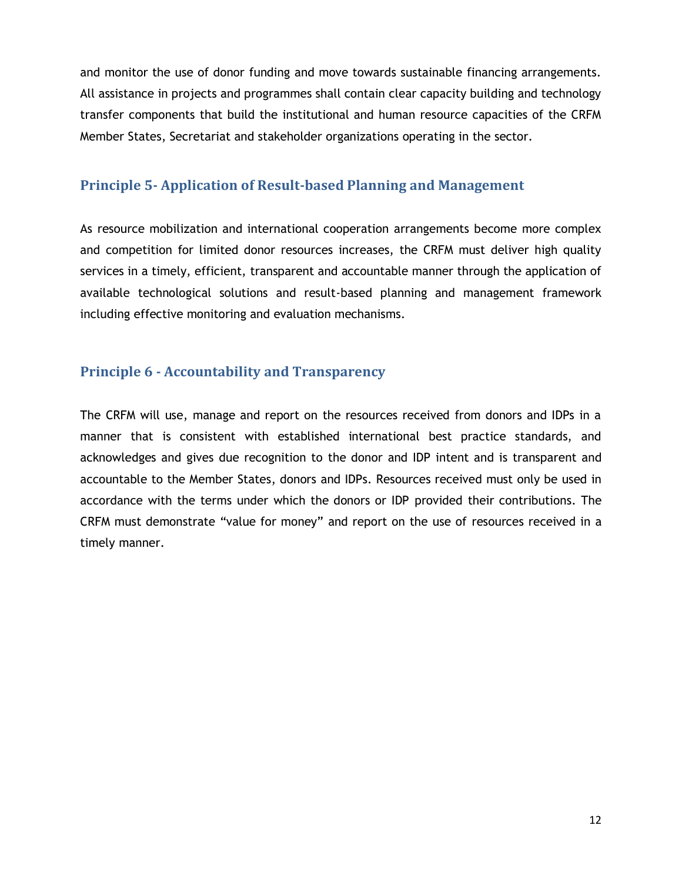and monitor the use of donor funding and move towards sustainable financing arrangements. All assistance in projects and programmes shall contain clear capacity building and technology transfer components that build the institutional and human resource capacities of the CRFM Member States, Secretariat and stakeholder organizations operating in the sector.

### <span id="page-18-0"></span>**Principle 5- Application of Result-based Planning and Management**

As resource mobilization and international cooperation arrangements become more complex and competition for limited donor resources increases, the CRFM must deliver high quality services in a timely, efficient, transparent and accountable manner through the application of available technological solutions and result-based planning and management framework including effective monitoring and evaluation mechanisms.

## <span id="page-18-1"></span>**Principle 6 - Accountability and Transparency**

The CRFM will use, manage and report on the resources received from donors and IDPs in a manner that is consistent with established international best practice standards, and acknowledges and gives due recognition to the donor and IDP intent and is transparent and accountable to the Member States, donors and IDPs. Resources received must only be used in accordance with the terms under which the donors or IDP provided their contributions. The CRFM must demonstrate "value for money" and report on the use of resources received in a timely manner.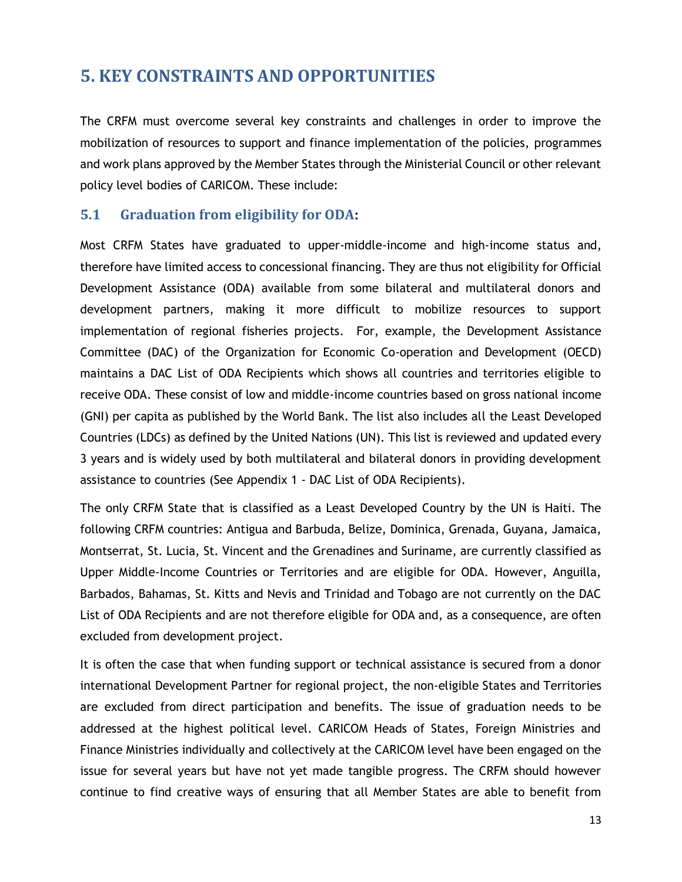## <span id="page-19-0"></span>**5. KEY CONSTRAINTS AND OPPORTUNITIES**

The CRFM must overcome several key constraints and challenges in order to improve the mobilization of resources to support and finance implementation of the policies, programmes and work plans approved by the Member States through the Ministerial Council or other relevant policy level bodies of CARICOM. These include:

### <span id="page-19-1"></span>**5.1 Graduation from eligibility for ODA:**

Most CRFM States have graduated to upper-middle-income and high-income status and, therefore have limited access to concessional financing. They are thus not eligibility for Official Development Assistance (ODA) available from some bilateral and multilateral donors and development partners, making it more difficult to mobilize resources to support implementation of regional fisheries projects. For, example, the Development Assistance Committee (DAC) of the Organization for Economic Co-operation and Development (OECD) maintains a DAC List of ODA Recipients which shows all countries and territories eligible to receive ODA. These consist of low and middle-income countries based on gross national income (GNI) per capita as published by the World Bank. The list also includes all the Least Developed Countries (LDCs) as defined by the United Nations (UN). This list is reviewed and updated every 3 years and is widely used by both multilateral and bilateral donors in providing development assistance to countries (See Appendix 1 - DAC List of ODA Recipients).

The only CRFM State that is classified as a Least Developed Country by the UN is Haiti. The following CRFM countries: Antigua and Barbuda, Belize, Dominica, Grenada, Guyana, Jamaica, Montserrat, St. Lucia, St. Vincent and the Grenadines and Suriname, are currently classified as Upper Middle-Income Countries or Territories and are eligible for ODA. However, Anguilla, Barbados, Bahamas, St. Kitts and Nevis and Trinidad and Tobago are not currently on the DAC List of ODA Recipients and are not therefore eligible for ODA and, as a consequence, are often excluded from development project.

It is often the case that when funding support or technical assistance is secured from a donor international Development Partner for regional project, the non-eligible States and Territories are excluded from direct participation and benefits. The issue of graduation needs to be addressed at the highest political level. CARICOM Heads of States, Foreign Ministries and Finance Ministries individually and collectively at the CARICOM level have been engaged on the issue for several years but have not yet made tangible progress. The CRFM should however continue to find creative ways of ensuring that all Member States are able to benefit from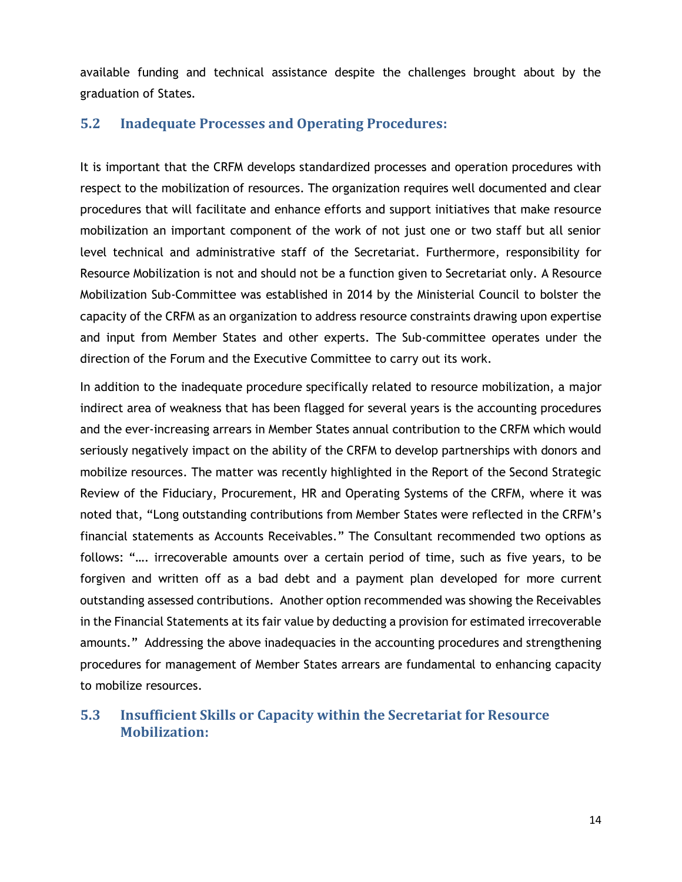available funding and technical assistance despite the challenges brought about by the graduation of States.

### <span id="page-20-0"></span>**5.2 Inadequate Processes and Operating Procedures:**

It is important that the CRFM develops standardized processes and operation procedures with respect to the mobilization of resources. The organization requires well documented and clear procedures that will facilitate and enhance efforts and support initiatives that make resource mobilization an important component of the work of not just one or two staff but all senior level technical and administrative staff of the Secretariat. Furthermore, responsibility for Resource Mobilization is not and should not be a function given to Secretariat only. A Resource Mobilization Sub-Committee was established in 2014 by the Ministerial Council to bolster the capacity of the CRFM as an organization to address resource constraints drawing upon expertise and input from Member States and other experts. The Sub-committee operates under the direction of the Forum and the Executive Committee to carry out its work.

In addition to the inadequate procedure specifically related to resource mobilization, a major indirect area of weakness that has been flagged for several years is the accounting procedures and the ever-increasing arrears in Member States annual contribution to the CRFM which would seriously negatively impact on the ability of the CRFM to develop partnerships with donors and mobilize resources. The matter was recently highlighted in the Report of the Second Strategic Review of the Fiduciary, Procurement, HR and Operating Systems of the CRFM, where it was noted that, "Long outstanding contributions from Member States were reflected in the CRFM's financial statements as Accounts Receivables." The Consultant recommended two options as follows: "…. irrecoverable amounts over a certain period of time, such as five years, to be forgiven and written off as a bad debt and a payment plan developed for more current outstanding assessed contributions. Another option recommended was showing the Receivables in the Financial Statements at its fair value by deducting a provision for estimated irrecoverable amounts." Addressing the above inadequacies in the accounting procedures and strengthening procedures for management of Member States arrears are fundamental to enhancing capacity to mobilize resources.

## <span id="page-20-1"></span>**5.3 Insufficient Skills or Capacity within the Secretariat for Resource Mobilization:**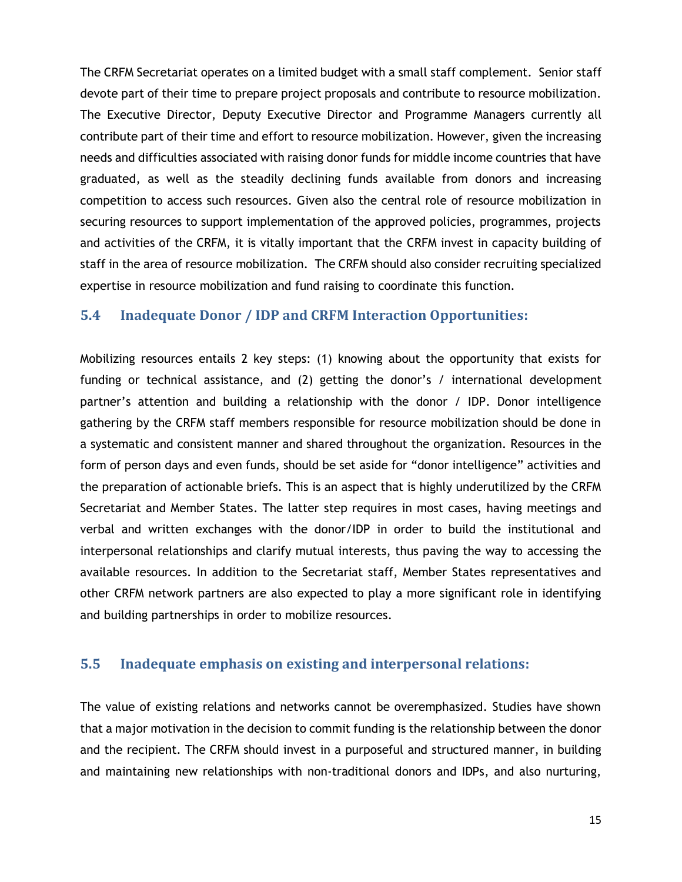The CRFM Secretariat operates on a limited budget with a small staff complement. Senior staff devote part of their time to prepare project proposals and contribute to resource mobilization. The Executive Director, Deputy Executive Director and Programme Managers currently all contribute part of their time and effort to resource mobilization. However, given the increasing needs and difficulties associated with raising donor funds for middle income countries that have graduated, as well as the steadily declining funds available from donors and increasing competition to access such resources. Given also the central role of resource mobilization in securing resources to support implementation of the approved policies, programmes, projects and activities of the CRFM, it is vitally important that the CRFM invest in capacity building of staff in the area of resource mobilization. The CRFM should also consider recruiting specialized expertise in resource mobilization and fund raising to coordinate this function.

#### <span id="page-21-0"></span>**5.4 Inadequate Donor / IDP and CRFM Interaction Opportunities:**

Mobilizing resources entails 2 key steps: (1) knowing about the opportunity that exists for funding or technical assistance, and (2) getting the donor's / international development partner's attention and building a relationship with the donor / IDP. Donor intelligence gathering by the CRFM staff members responsible for resource mobilization should be done in a systematic and consistent manner and shared throughout the organization. Resources in the form of person days and even funds, should be set aside for "donor intelligence" activities and the preparation of actionable briefs. This is an aspect that is highly underutilized by the CRFM Secretariat and Member States. The latter step requires in most cases, having meetings and verbal and written exchanges with the donor/IDP in order to build the institutional and interpersonal relationships and clarify mutual interests, thus paving the way to accessing the available resources. In addition to the Secretariat staff, Member States representatives and other CRFM network partners are also expected to play a more significant role in identifying and building partnerships in order to mobilize resources.

#### <span id="page-21-1"></span>**5.5 Inadequate emphasis on existing and interpersonal relations:**

The value of existing relations and networks cannot be overemphasized. Studies have shown that a major motivation in the decision to commit funding is the relationship between the donor and the recipient. The CRFM should invest in a purposeful and structured manner, in building and maintaining new relationships with non-traditional donors and IDPs, and also nurturing,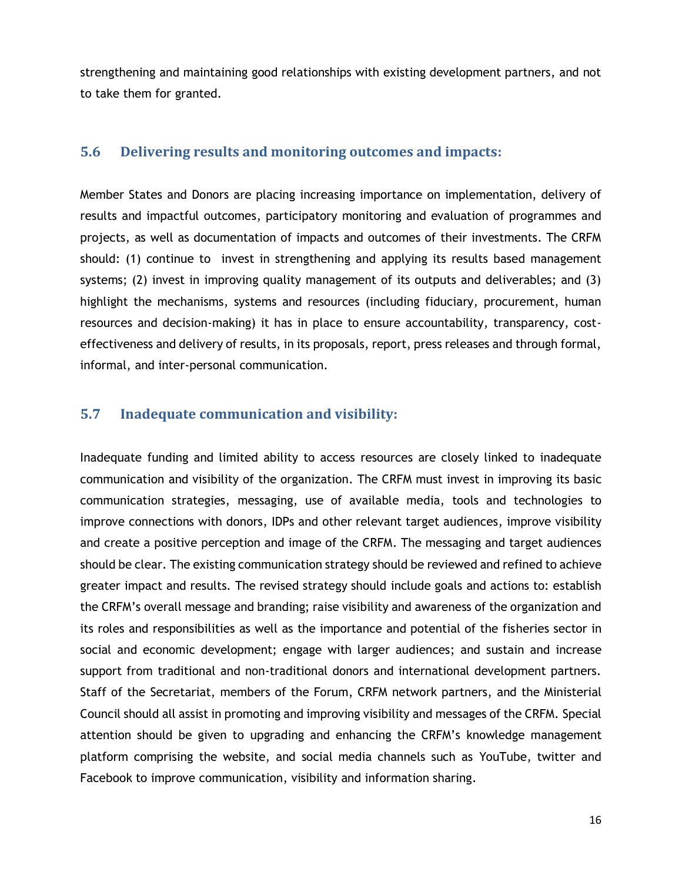strengthening and maintaining good relationships with existing development partners, and not to take them for granted.

#### <span id="page-22-0"></span>**5.6 Delivering results and monitoring outcomes and impacts:**

Member States and Donors are placing increasing importance on implementation, delivery of results and impactful outcomes, participatory monitoring and evaluation of programmes and projects, as well as documentation of impacts and outcomes of their investments. The CRFM should: (1) continue to invest in strengthening and applying its results based management systems; (2) invest in improving quality management of its outputs and deliverables; and (3) highlight the mechanisms, systems and resources (including fiduciary, procurement, human resources and decision-making) it has in place to ensure accountability, transparency, costeffectiveness and delivery of results, in its proposals, report, press releases and through formal, informal, and inter-personal communication.

#### <span id="page-22-1"></span>**5.7 Inadequate communication and visibility:**

Inadequate funding and limited ability to access resources are closely linked to inadequate communication and visibility of the organization. The CRFM must invest in improving its basic communication strategies, messaging, use of available media, tools and technologies to improve connections with donors, IDPs and other relevant target audiences, improve visibility and create a positive perception and image of the CRFM. The messaging and target audiences should be clear. The existing communication strategy should be reviewed and refined to achieve greater impact and results. The revised strategy should include goals and actions to: establish the CRFM's overall message and branding; raise visibility and awareness of the organization and its roles and responsibilities as well as the importance and potential of the fisheries sector in social and economic development; engage with larger audiences; and sustain and increase support from traditional and non-traditional donors and international development partners. Staff of the Secretariat, members of the Forum, CRFM network partners, and the Ministerial Council should all assist in promoting and improving visibility and messages of the CRFM. Special attention should be given to upgrading and enhancing the CRFM's knowledge management platform comprising the website, and social media channels such as YouTube, twitter and Facebook to improve communication, visibility and information sharing.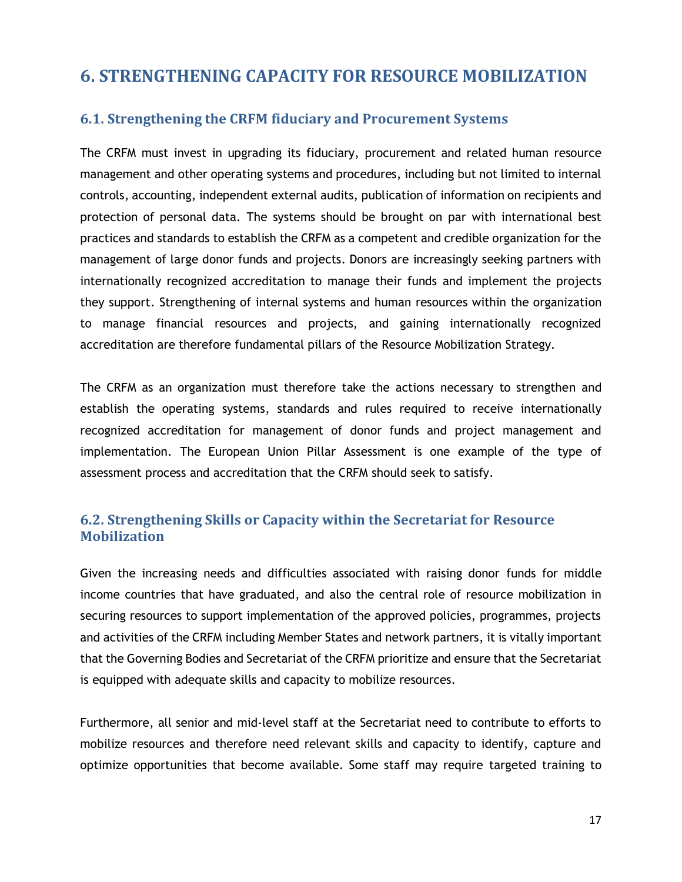## <span id="page-23-0"></span>**6. STRENGTHENING CAPACITY FOR RESOURCE MOBILIZATION**

## <span id="page-23-1"></span>**6.1. Strengthening the CRFM fiduciary and Procurement Systems**

The CRFM must invest in upgrading its fiduciary, procurement and related human resource management and other operating systems and procedures, including but not limited to internal controls, accounting, independent external audits, publication of information on recipients and protection of personal data. The systems should be brought on par with international best practices and standards to establish the CRFM as a competent and credible organization for the management of large donor funds and projects. Donors are increasingly seeking partners with internationally recognized accreditation to manage their funds and implement the projects they support. Strengthening of internal systems and human resources within the organization to manage financial resources and projects, and gaining internationally recognized accreditation are therefore fundamental pillars of the Resource Mobilization Strategy.

The CRFM as an organization must therefore take the actions necessary to strengthen and establish the operating systems, standards and rules required to receive internationally recognized accreditation for management of donor funds and project management and implementation. The European Union Pillar Assessment is one example of the type of assessment process and accreditation that the CRFM should seek to satisfy.

## <span id="page-23-2"></span>**6.2. Strengthening Skills or Capacity within the Secretariat for Resource Mobilization**

Given the increasing needs and difficulties associated with raising donor funds for middle income countries that have graduated, and also the central role of resource mobilization in securing resources to support implementation of the approved policies, programmes, projects and activities of the CRFM including Member States and network partners, it is vitally important that the Governing Bodies and Secretariat of the CRFM prioritize and ensure that the Secretariat is equipped with adequate skills and capacity to mobilize resources.

Furthermore, all senior and mid-level staff at the Secretariat need to contribute to efforts to mobilize resources and therefore need relevant skills and capacity to identify, capture and optimize opportunities that become available. Some staff may require targeted training to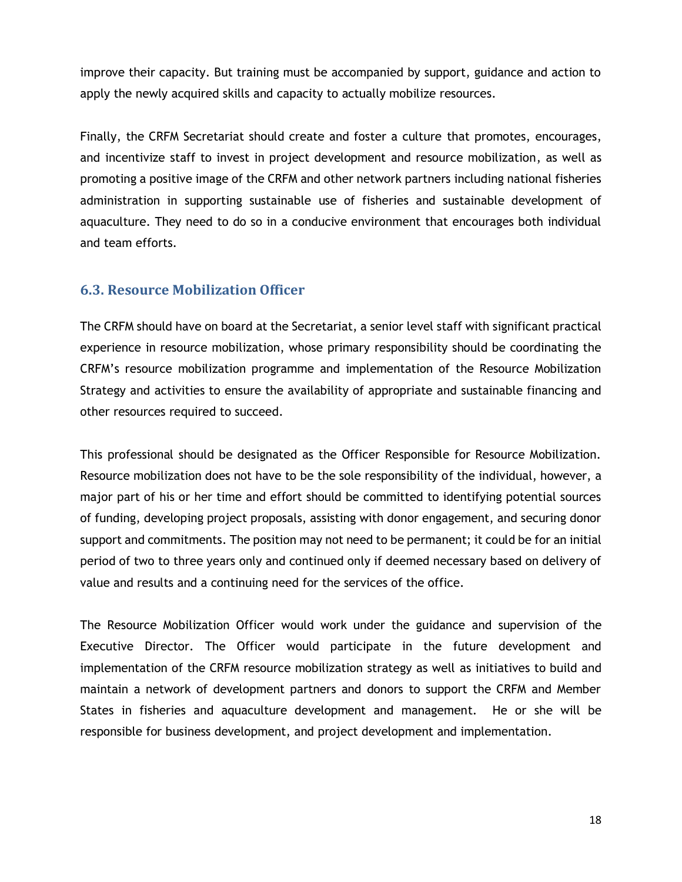improve their capacity. But training must be accompanied by support, guidance and action to apply the newly acquired skills and capacity to actually mobilize resources.

Finally, the CRFM Secretariat should create and foster a culture that promotes, encourages, and incentivize staff to invest in project development and resource mobilization, as well as promoting a positive image of the CRFM and other network partners including national fisheries administration in supporting sustainable use of fisheries and sustainable development of aquaculture. They need to do so in a conducive environment that encourages both individual and team efforts.

### <span id="page-24-0"></span>**6.3. Resource Mobilization Officer**

The CRFM should have on board at the Secretariat, a senior level staff with significant practical experience in resource mobilization, whose primary responsibility should be coordinating the CRFM's resource mobilization programme and implementation of the Resource Mobilization Strategy and activities to ensure the availability of appropriate and sustainable financing and other resources required to succeed.

This professional should be designated as the Officer Responsible for Resource Mobilization. Resource mobilization does not have to be the sole responsibility of the individual, however, a major part of his or her time and effort should be committed to identifying potential sources of funding, developing project proposals, assisting with donor engagement, and securing donor support and commitments. The position may not need to be permanent; it could be for an initial period of two to three years only and continued only if deemed necessary based on delivery of value and results and a continuing need for the services of the office.

The Resource Mobilization Officer would work under the guidance and supervision of the Executive Director. The Officer would participate in the future development and implementation of the CRFM resource mobilization strategy as well as initiatives to build and maintain a network of development partners and donors to support the CRFM and Member States in fisheries and aquaculture development and management. He or she will be responsible for business development, and project development and implementation.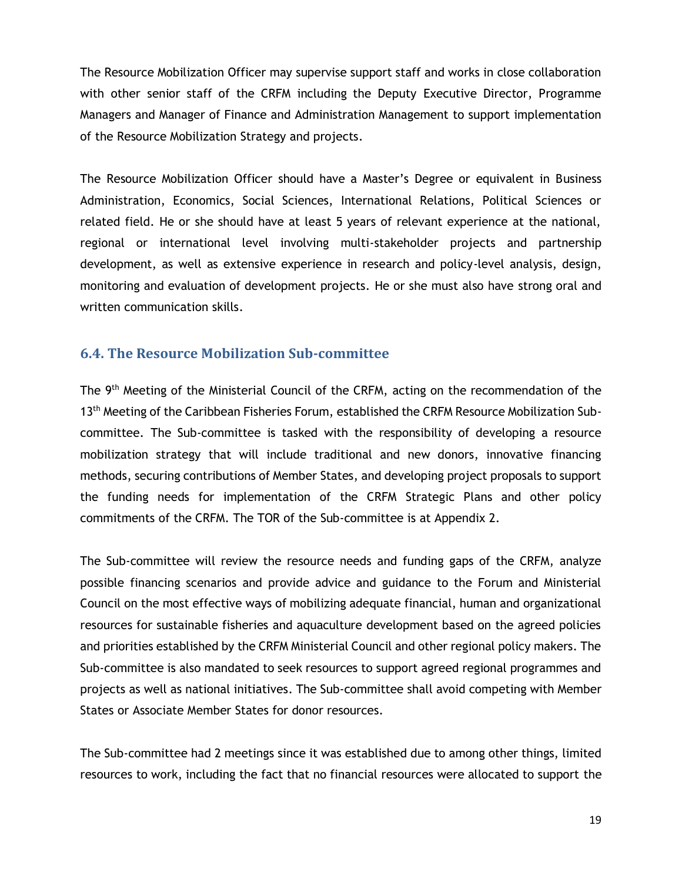The Resource Mobilization Officer may supervise support staff and works in close collaboration with other senior staff of the CRFM including the Deputy Executive Director, Programme Managers and Manager of Finance and Administration Management to support implementation of the Resource Mobilization Strategy and projects.

The Resource Mobilization Officer should have a Master's Degree or equivalent in Business Administration, Economics, Social Sciences, International Relations, Political Sciences or related field. He or she should have at least 5 years of relevant experience at the national, regional or international level involving multi-stakeholder projects and partnership development, as well as extensive experience in research and policy-level analysis, design, monitoring and evaluation of development projects. He or she must also have strong oral and written communication skills.

### <span id="page-25-0"></span>**6.4. The Resource Mobilization Sub-committee**

The 9<sup>th</sup> Meeting of the Ministerial Council of the CRFM, acting on the recommendation of the 13<sup>th</sup> Meeting of the Caribbean Fisheries Forum, established the CRFM Resource Mobilization Subcommittee. The Sub-committee is tasked with the responsibility of developing a resource mobilization strategy that will include traditional and new donors, innovative financing methods, securing contributions of Member States, and developing project proposals to support the funding needs for implementation of the CRFM Strategic Plans and other policy commitments of the CRFM. The TOR of the Sub-committee is at Appendix 2.

The Sub-committee will review the resource needs and funding gaps of the CRFM, analyze possible financing scenarios and provide advice and guidance to the Forum and Ministerial Council on the most effective ways of mobilizing adequate financial, human and organizational resources for sustainable fisheries and aquaculture development based on the agreed policies and priorities established by the CRFM Ministerial Council and other regional policy makers. The Sub-committee is also mandated to seek resources to support agreed regional programmes and projects as well as national initiatives. The Sub-committee shall avoid competing with Member States or Associate Member States for donor resources.

The Sub-committee had 2 meetings since it was established due to among other things, limited resources to work, including the fact that no financial resources were allocated to support the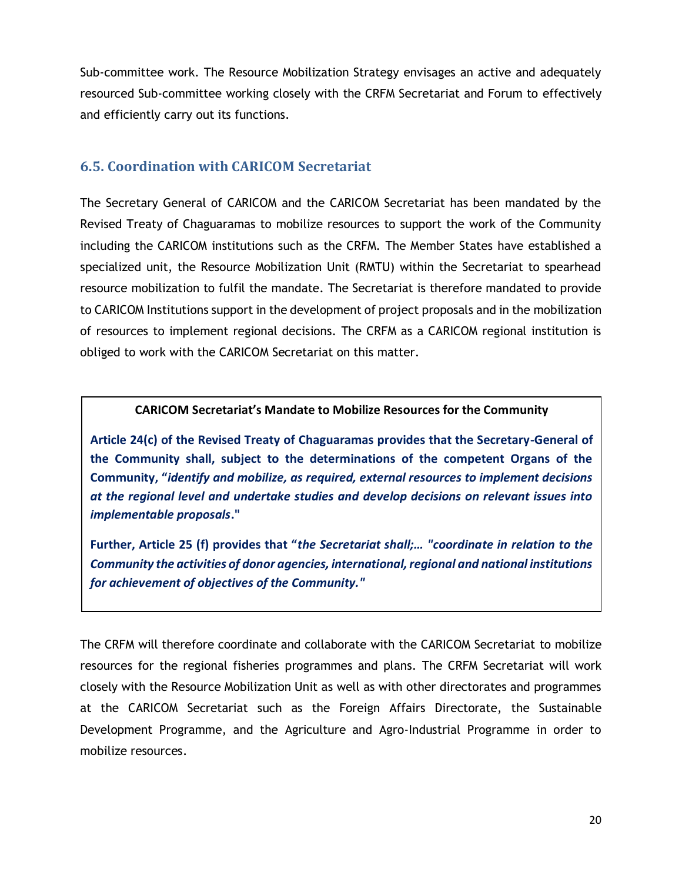Sub-committee work. The Resource Mobilization Strategy envisages an active and adequately resourced Sub-committee working closely with the CRFM Secretariat and Forum to effectively and efficiently carry out its functions.

## <span id="page-26-0"></span>**6.5. Coordination with CARICOM Secretariat**

The Secretary General of CARICOM and the CARICOM Secretariat has been mandated by the Revised Treaty of Chaguaramas to mobilize resources to support the work of the Community including the CARICOM institutions such as the CRFM. The Member States have established a specialized unit, the Resource Mobilization Unit (RMTU) within the Secretariat to spearhead resource mobilization to fulfil the mandate. The Secretariat is therefore mandated to provide to CARICOM Institutions support in the development of project proposals and in the mobilization of resources to implement regional decisions. The CRFM as a CARICOM regional institution is obliged to work with the CARICOM Secretariat on this matter.

#### **CARICOM Secretariat's Mandate to Mobilize Resources for the Community**

**Article 24(c) of the Revised Treaty of Chaguaramas provides that the Secretary-General of the Community shall, subject to the determinations of the competent Organs of the Community, "***identify and mobilize, as required, external resources to implement decisions at the regional level and undertake studies and develop decisions on relevant issues into implementable proposals***."**

**Further, Article 25 (f) provides that "***the Secretariat shall;… "coordinate in relation to the Community the activities of donor agencies, international, regional and national institutions for achievement of objectives of the Community."*

The CRFM will therefore coordinate and collaborate with the CARICOM Secretariat to mobilize resources for the regional fisheries programmes and plans. The CRFM Secretariat will work closely with the Resource Mobilization Unit as well as with other directorates and programmes at the CARICOM Secretariat such as the Foreign Affairs Directorate, the Sustainable Development Programme, and the Agriculture and Agro-Industrial Programme in order to mobilize resources.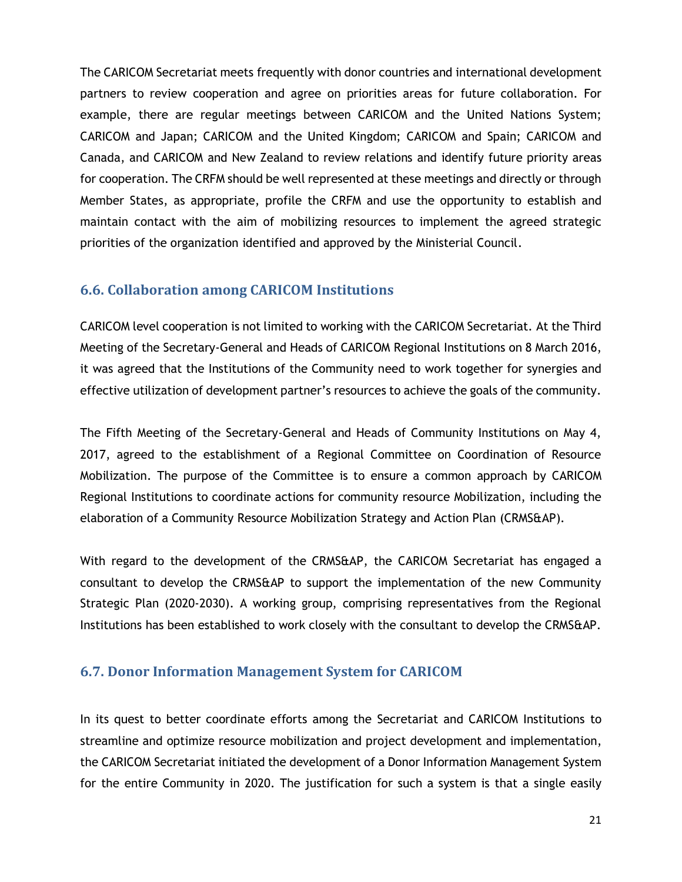The CARICOM Secretariat meets frequently with donor countries and international development partners to review cooperation and agree on priorities areas for future collaboration. For example, there are regular meetings between CARICOM and the United Nations System; CARICOM and Japan; CARICOM and the United Kingdom; CARICOM and Spain; CARICOM and Canada, and CARICOM and New Zealand to review relations and identify future priority areas for cooperation. The CRFM should be well represented at these meetings and directly or through Member States, as appropriate, profile the CRFM and use the opportunity to establish and maintain contact with the aim of mobilizing resources to implement the agreed strategic priorities of the organization identified and approved by the Ministerial Council.

### <span id="page-27-0"></span>**6.6. Collaboration among CARICOM Institutions**

CARICOM level cooperation is not limited to working with the CARICOM Secretariat. At the Third Meeting of the Secretary-General and Heads of CARICOM Regional Institutions on 8 March 2016, it was agreed that the Institutions of the Community need to work together for synergies and effective utilization of development partner's resources to achieve the goals of the community.

The Fifth Meeting of the Secretary-General and Heads of Community Institutions on May 4, 2017, agreed to the establishment of a Regional Committee on Coordination of Resource Mobilization. The purpose of the Committee is to ensure a common approach by CARICOM Regional Institutions to coordinate actions for community resource Mobilization, including the elaboration of a Community Resource Mobilization Strategy and Action Plan (CRMS&AP).

With regard to the development of the CRMS&AP, the CARICOM Secretariat has engaged a consultant to develop the CRMS&AP to support the implementation of the new Community Strategic Plan (2020-2030). A working group, comprising representatives from the Regional Institutions has been established to work closely with the consultant to develop the CRMS&AP.

## <span id="page-27-1"></span>**6.7. Donor Information Management System for CARICOM**

In its quest to better coordinate efforts among the Secretariat and CARICOM Institutions to streamline and optimize resource mobilization and project development and implementation, the CARICOM Secretariat initiated the development of a Donor Information Management System for the entire Community in 2020. The justification for such a system is that a single easily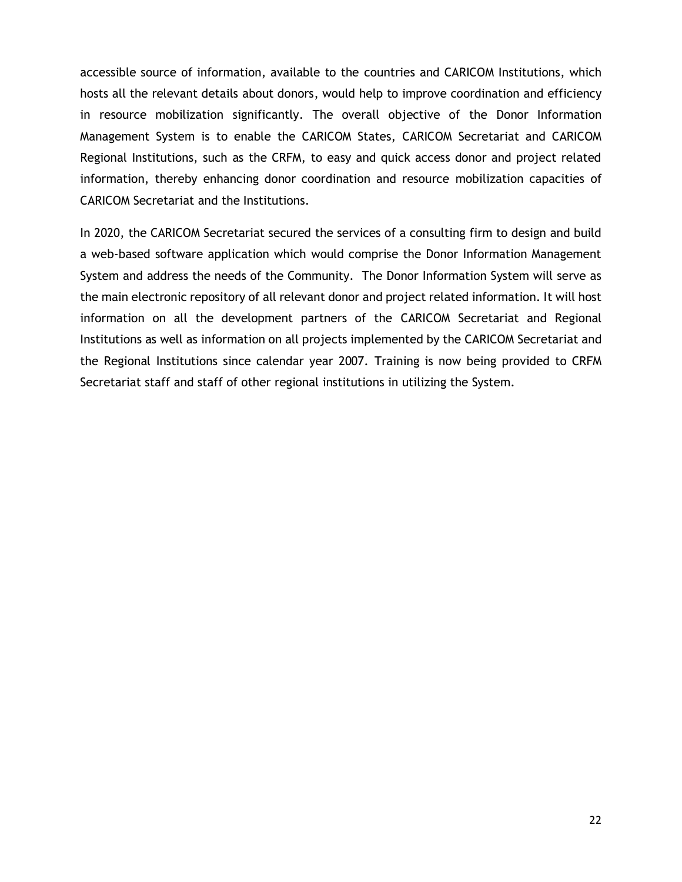accessible source of information, available to the countries and CARICOM Institutions, which hosts all the relevant details about donors, would help to improve coordination and efficiency in resource mobilization significantly. The overall objective of the Donor Information Management System is to enable the CARICOM States, CARICOM Secretariat and CARICOM Regional Institutions, such as the CRFM, to easy and quick access donor and project related information, thereby enhancing donor coordination and resource mobilization capacities of CARICOM Secretariat and the Institutions.

In 2020, the CARICOM Secretariat secured the services of a consulting firm to design and build a web-based software application which would comprise the Donor Information Management System and address the needs of the Community. The Donor Information System will serve as the main electronic repository of all relevant donor and project related information. It will host information on all the development partners of the CARICOM Secretariat and Regional Institutions as well as information on all projects implemented by the CARICOM Secretariat and the Regional Institutions since calendar year 2007. Training is now being provided to CRFM Secretariat staff and staff of other regional institutions in utilizing the System.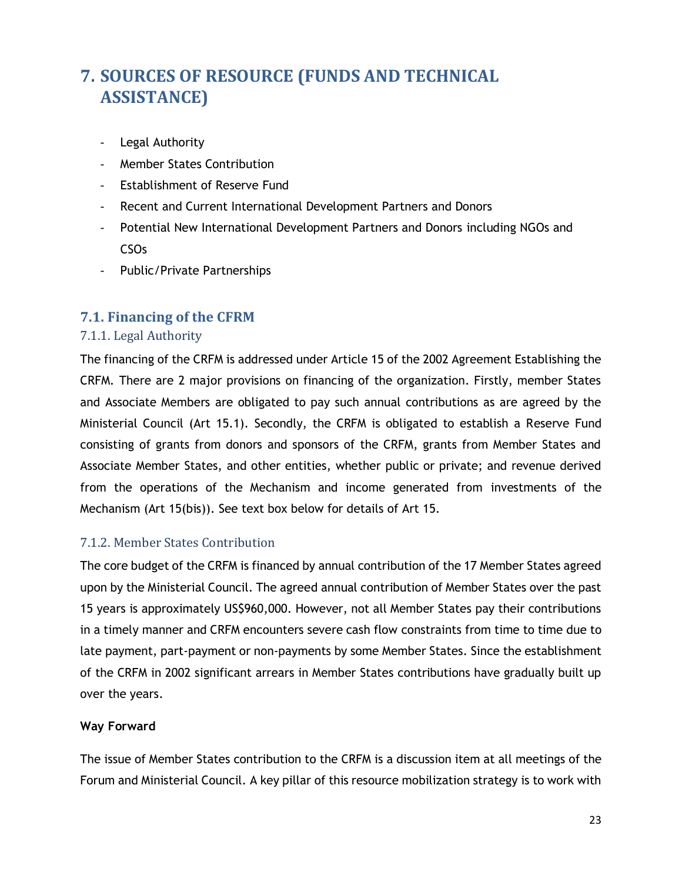# <span id="page-29-0"></span>**7. SOURCES OF RESOURCE (FUNDS AND TECHNICAL ASSISTANCE)**

- Legal Authority
- Member States Contribution
- Establishment of Reserve Fund
- Recent and Current International Development Partners and Donors
- Potential New International Development Partners and Donors including NGOs and CSOs
- Public/Private Partnerships

## <span id="page-29-1"></span>**7.1. Financing of the CFRM**

#### <span id="page-29-2"></span>7.1.1. Legal Authority

The financing of the CRFM is addressed under Article 15 of the 2002 Agreement Establishing the CRFM. There are 2 major provisions on financing of the organization. Firstly, member States and Associate Members are obligated to pay such annual contributions as are agreed by the Ministerial Council (Art 15.1). Secondly, the CRFM is obligated to establish a Reserve Fund consisting of grants from donors and sponsors of the CRFM, grants from Member States and Associate Member States, and other entities, whether public or private; and revenue derived from the operations of the Mechanism and income generated from investments of the Mechanism (Art 15(bis)). See text box below for details of Art 15.

#### <span id="page-29-3"></span>7.1.2. Member States Contribution

The core budget of the CRFM is financed by annual contribution of the 17 Member States agreed upon by the Ministerial Council. The agreed annual contribution of Member States over the past 15 years is approximately US\$960,000. However, not all Member States pay their contributions in a timely manner and CRFM encounters severe cash flow constraints from time to time due to late payment, part-payment or non-payments by some Member States. Since the establishment of the CRFM in 2002 significant arrears in Member States contributions have gradually built up over the years.

#### **Way Forward**

The issue of Member States contribution to the CRFM is a discussion item at all meetings of the Forum and Ministerial Council. A key pillar of this resource mobilization strategy is to work with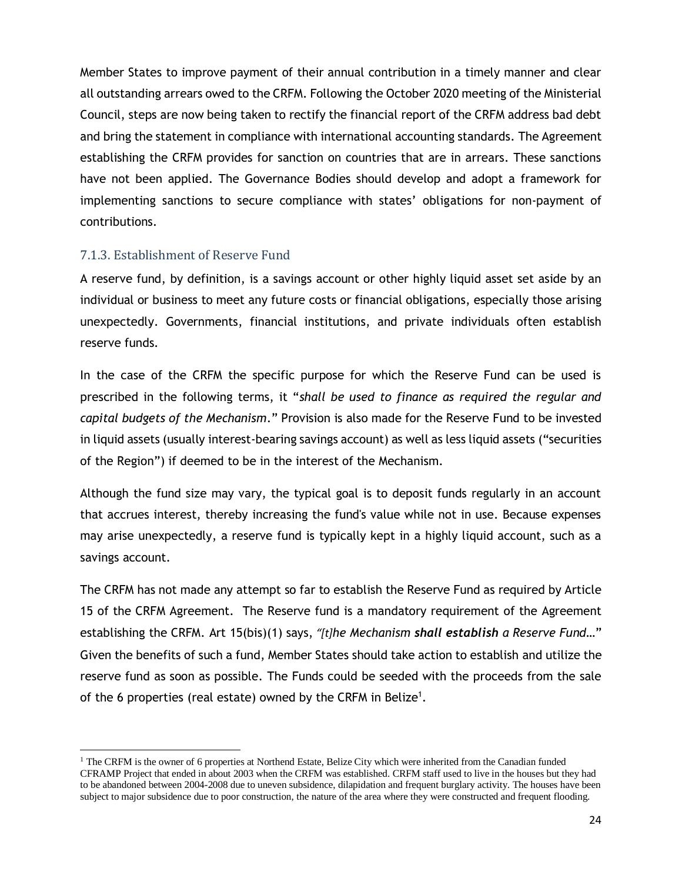Member States to improve payment of their annual contribution in a timely manner and clear all outstanding arrears owed to the CRFM. Following the October 2020 meeting of the Ministerial Council, steps are now being taken to rectify the financial report of the CRFM address bad debt and bring the statement in compliance with international accounting standards. The Agreement establishing the CRFM provides for sanction on countries that are in arrears. These sanctions have not been applied. The Governance Bodies should develop and adopt a framework for implementing sanctions to secure compliance with states' obligations for non-payment of contributions.

#### <span id="page-30-0"></span>7.1.3. Establishment of Reserve Fund

A reserve fund, by definition, is a savings account or other highly liquid asset set aside by an individual or business to meet any future costs or financial obligations, especially those arising unexpectedly. Governments, financial institutions, and private individuals often establish reserve funds.

In the case of the CRFM the specific purpose for which the Reserve Fund can be used is prescribed in the following terms, it "*shall be used to finance as required the regular and capital budgets of the Mechanism*." Provision is also made for the Reserve Fund to be invested in liquid assets (usually interest-bearing savings account) as well as less liquid assets ("securities of the Region") if deemed to be in the interest of the Mechanism.

Although the fund size may vary, the typical goal is to deposit funds regularly in an account that accrues interest, thereby increasing the fund's value while not in use. Because expenses may arise unexpectedly, a reserve fund is typically kept in a highly liquid account, such as a savings account.

The CRFM has not made any attempt so far to establish the Reserve Fund as required by Article 15 of the CRFM Agreement. The Reserve fund is a mandatory requirement of the Agreement establishing the CRFM. Art 15(bis)(1) says, *"[t]he Mechanism shall establish a Reserve Fund*…" Given the benefits of such a fund, Member States should take action to establish and utilize the reserve fund as soon as possible. The Funds could be seeded with the proceeds from the sale of the 6 properties (real estate) owned by the CRFM in Belize<sup>1</sup>.

 $1$  The CRFM is the owner of 6 properties at Northend Estate. Belize City which were inherited from the Canadian funded CFRAMP Project that ended in about 2003 when the CRFM was established. CRFM staff used to live in the houses but they had to be abandoned between 2004-2008 due to uneven subsidence, dilapidation and frequent burglary activity. The houses have been subject to major subsidence due to poor construction, the nature of the area where they were constructed and frequent flooding.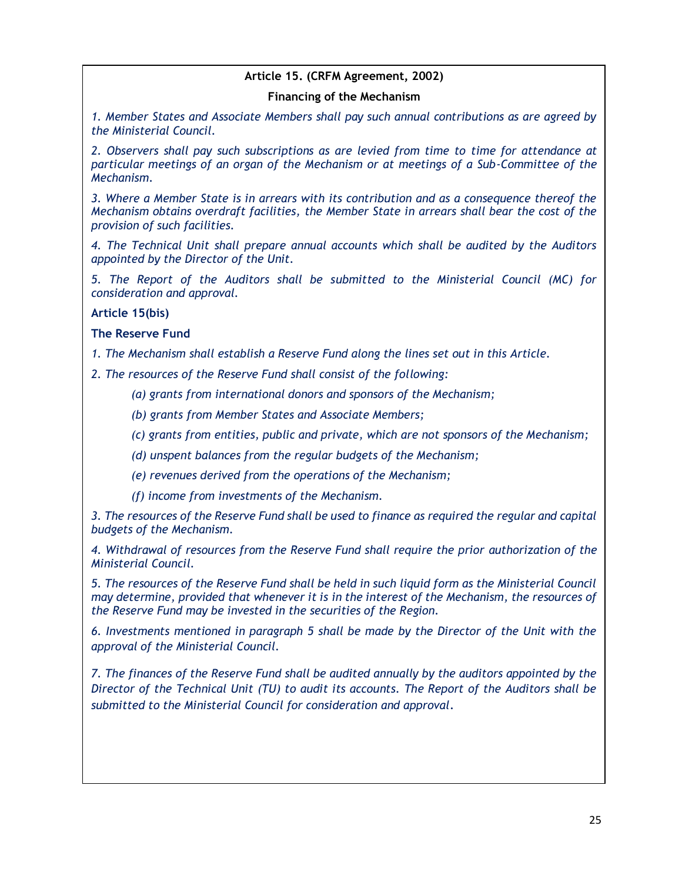#### **Article 15. (CRFM Agreement, 2002)**

#### **Financing of the Mechanism**

*1. Member States and Associate Members shall pay such annual contributions as are agreed by the Ministerial Council.*

*2. Observers shall pay such subscriptions as are levied from time to time for attendance at particular meetings of an organ of the Mechanism or at meetings of a Sub-Committee of the Mechanism.*

*3. Where a Member State is in arrears with its contribution and as a consequence thereof the Mechanism obtains overdraft facilities, the Member State in arrears shall bear the cost of the provision of such facilities.*

*4. The Technical Unit shall prepare annual accounts which shall be audited by the Auditors appointed by the Director of the Unit.*

*5. The Report of the Auditors shall be submitted to the Ministerial Council (MC) for consideration and approval.*

**Article 15(bis)**

**The Reserve Fund**

*1. The Mechanism shall establish a Reserve Fund along the lines set out in this Article.*

*2. The resources of the Reserve Fund shall consist of the following:* 

*(a) grants from international donors and sponsors of the Mechanism;*

*(b) grants from Member States and Associate Members;*

*(c) grants from entities, public and private, which are not sponsors of the Mechanism;*

*(d) unspent balances from the regular budgets of the Mechanism;*

*(e) revenues derived from the operations of the Mechanism;*

*(f) income from investments of the Mechanism.*

*3. The resources of the Reserve Fund shall be used to finance as required the regular and capital budgets of the Mechanism.*

*4. Withdrawal of resources from the Reserve Fund shall require the prior authorization of the Ministerial Council.*

*5. The resources of the Reserve Fund shall be held in such liquid form as the Ministerial Council may determine, provided that whenever it is in the interest of the Mechanism, the resources of the Reserve Fund may be invested in the securities of the Region.*

*6. Investments mentioned in paragraph 5 shall be made by the Director of the Unit with the approval of the Ministerial Council.*

*7. The finances of the Reserve Fund shall be audited annually by the auditors appointed by the Director of the Technical Unit (TU) to audit its accounts. The Report of the Auditors shall be submitted to the Ministerial Council for consideration and approval.*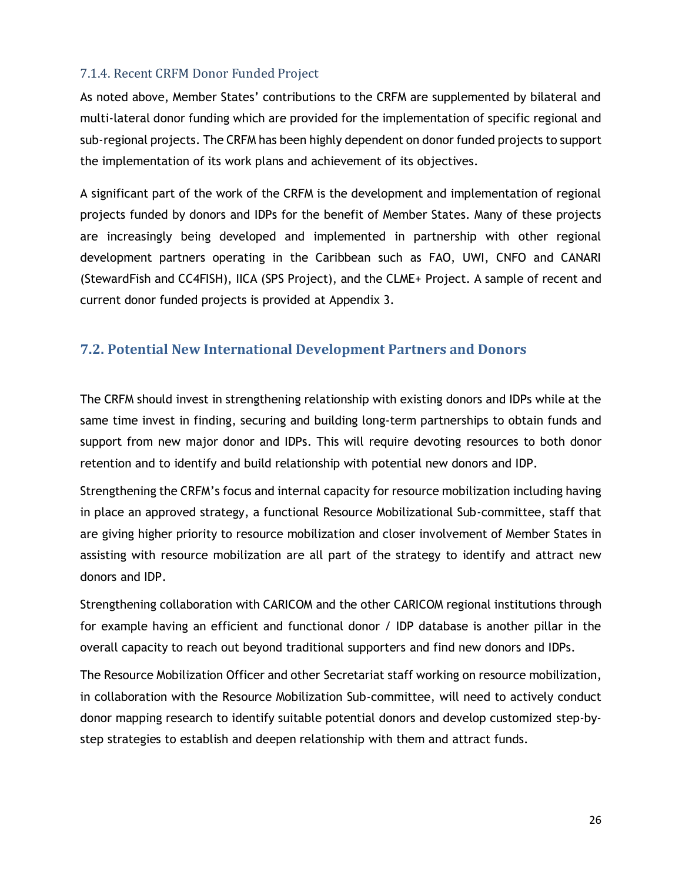#### <span id="page-32-0"></span>7.1.4. Recent CRFM Donor Funded Project

As noted above, Member States' contributions to the CRFM are supplemented by bilateral and multi-lateral donor funding which are provided for the implementation of specific regional and sub-regional projects. The CRFM has been highly dependent on donor funded projects to support the implementation of its work plans and achievement of its objectives.

A significant part of the work of the CRFM is the development and implementation of regional projects funded by donors and IDPs for the benefit of Member States. Many of these projects are increasingly being developed and implemented in partnership with other regional development partners operating in the Caribbean such as FAO, UWI, CNFO and CANARI (StewardFish and CC4FISH), IICA (SPS Project), and the CLME+ Project. A sample of recent and current donor funded projects is provided at Appendix 3.

## <span id="page-32-1"></span>**7.2. Potential New International Development Partners and Donors**

The CRFM should invest in strengthening relationship with existing donors and IDPs while at the same time invest in finding, securing and building long-term partnerships to obtain funds and support from new major donor and IDPs. This will require devoting resources to both donor retention and to identify and build relationship with potential new donors and IDP.

Strengthening the CRFM's focus and internal capacity for resource mobilization including having in place an approved strategy, a functional Resource Mobilizational Sub-committee, staff that are giving higher priority to resource mobilization and closer involvement of Member States in assisting with resource mobilization are all part of the strategy to identify and attract new donors and IDP.

Strengthening collaboration with CARICOM and the other CARICOM regional institutions through for example having an efficient and functional donor / IDP database is another pillar in the overall capacity to reach out beyond traditional supporters and find new donors and IDPs.

The Resource Mobilization Officer and other Secretariat staff working on resource mobilization, in collaboration with the Resource Mobilization Sub-committee, will need to actively conduct donor mapping research to identify suitable potential donors and develop customized step-bystep strategies to establish and deepen relationship with them and attract funds.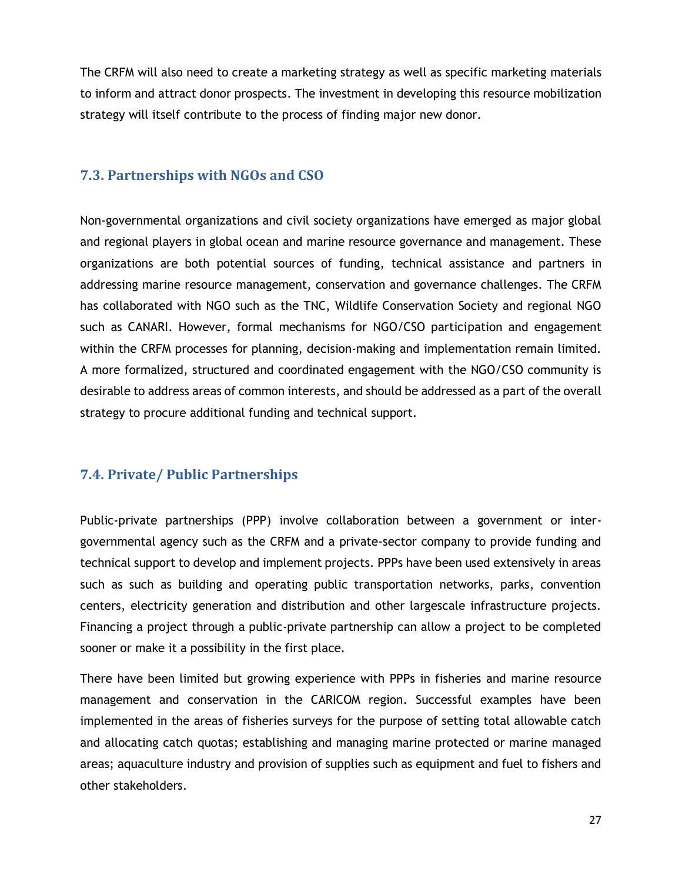The CRFM will also need to create a marketing strategy as well as specific marketing materials to inform and attract donor prospects. The investment in developing this resource mobilization strategy will itself contribute to the process of finding major new donor.

## <span id="page-33-0"></span>**7.3. Partnerships with NGOs and CSO**

Non-governmental organizations and civil society organizations have emerged as major global and regional players in global ocean and marine resource governance and management. These organizations are both potential sources of funding, technical assistance and partners in addressing marine resource management, conservation and governance challenges. The CRFM has collaborated with NGO such as the TNC, Wildlife Conservation Society and regional NGO such as CANARI. However, formal mechanisms for NGO/CSO participation and engagement within the CRFM processes for planning, decision-making and implementation remain limited. A more formalized, structured and coordinated engagement with the NGO/CSO community is desirable to address areas of common interests, and should be addressed as a part of the overall strategy to procure additional funding and technical support.

## <span id="page-33-1"></span>**7.4. Private/ Public Partnerships**

Public-private partnerships (PPP) involve collaboration between a government or intergovernmental agency such as the CRFM and a private-sector company to provide funding and technical support to develop and implement projects. PPPs have been used extensively in areas such as such as building and operating public transportation networks, parks, convention centers, electricity generation and distribution and other largescale infrastructure projects. Financing a project through a public-private partnership can allow a project to be completed sooner or make it a possibility in the first place.

There have been limited but growing experience with PPPs in fisheries and marine resource management and conservation in the CARICOM region. Successful examples have been implemented in the areas of fisheries surveys for the purpose of setting total allowable catch and allocating catch quotas; establishing and managing marine protected or marine managed areas; aquaculture industry and provision of supplies such as equipment and fuel to fishers and other stakeholders.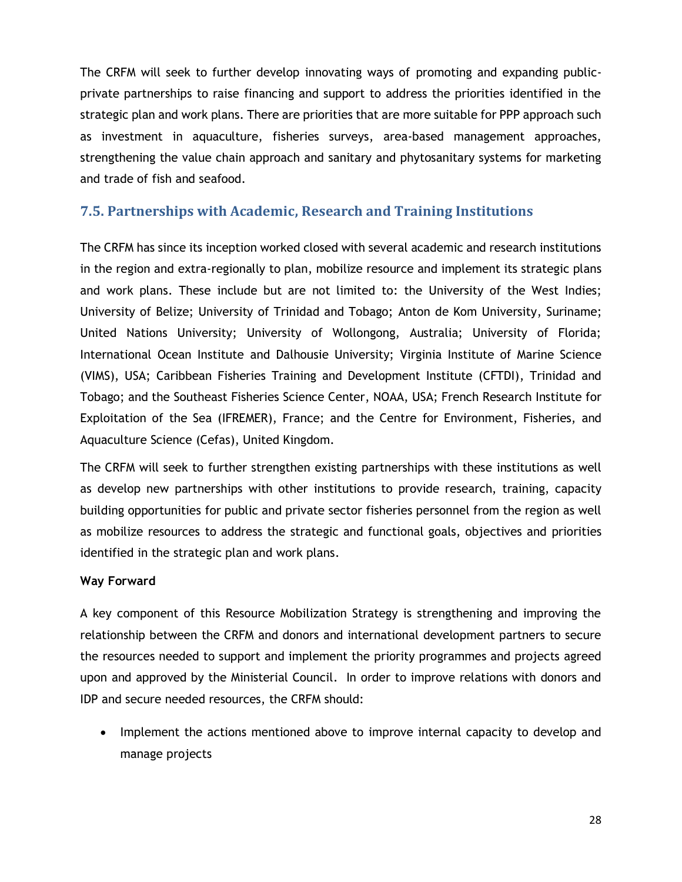The CRFM will seek to further develop innovating ways of promoting and expanding publicprivate partnerships to raise financing and support to address the priorities identified in the strategic plan and work plans. There are priorities that are more suitable for PPP approach such as investment in aquaculture, fisheries surveys, area-based management approaches, strengthening the value chain approach and sanitary and phytosanitary systems for marketing and trade of fish and seafood.

## <span id="page-34-0"></span>**7.5. Partnerships with Academic, Research and Training Institutions**

The CRFM has since its inception worked closed with several academic and research institutions in the region and extra-regionally to plan, mobilize resource and implement its strategic plans and work plans. These include but are not limited to: the University of the West Indies; University of Belize; University of Trinidad and Tobago; Anton de Kom University, Suriname; United Nations University; University of Wollongong, Australia; University of Florida; International Ocean Institute and Dalhousie University; Virginia Institute of Marine Science (VIMS), USA; Caribbean Fisheries Training and Development Institute (CFTDI), Trinidad and Tobago; and the Southeast Fisheries Science Center, NOAA, USA; French Research Institute for Exploitation of the Sea (IFREMER), France; and the Centre for Environment, Fisheries, and Aquaculture Science (Cefas), United Kingdom.

The CRFM will seek to further strengthen existing partnerships with these institutions as well as develop new partnerships with other institutions to provide research, training, capacity building opportunities for public and private sector fisheries personnel from the region as well as mobilize resources to address the strategic and functional goals, objectives and priorities identified in the strategic plan and work plans.

#### **Way Forward**

A key component of this Resource Mobilization Strategy is strengthening and improving the relationship between the CRFM and donors and international development partners to secure the resources needed to support and implement the priority programmes and projects agreed upon and approved by the Ministerial Council. In order to improve relations with donors and IDP and secure needed resources, the CRFM should:

• Implement the actions mentioned above to improve internal capacity to develop and manage projects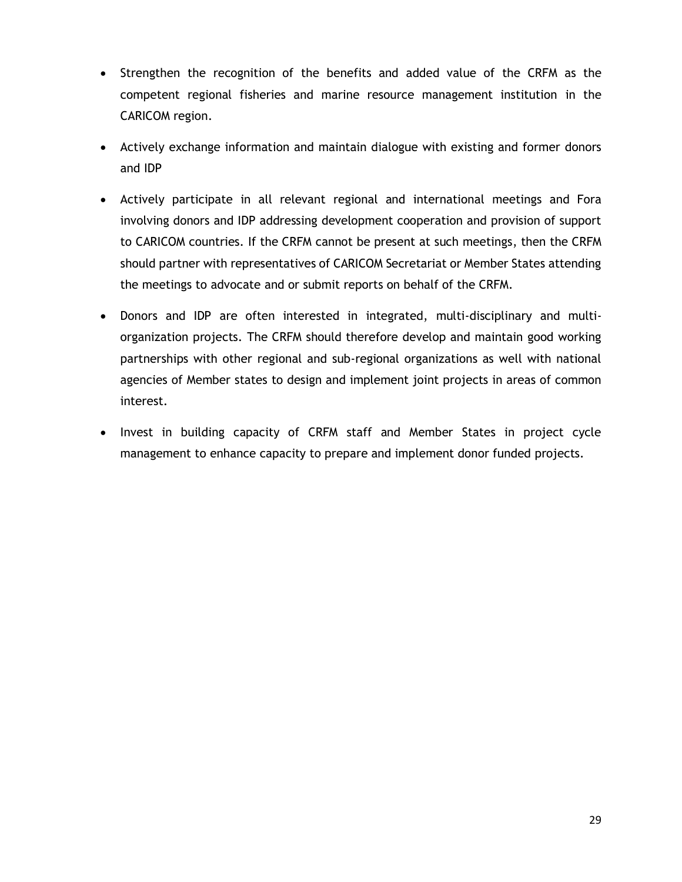- Strengthen the recognition of the benefits and added value of the CRFM as the competent regional fisheries and marine resource management institution in the CARICOM region.
- Actively exchange information and maintain dialogue with existing and former donors and IDP
- Actively participate in all relevant regional and international meetings and Fora involving donors and IDP addressing development cooperation and provision of support to CARICOM countries. If the CRFM cannot be present at such meetings, then the CRFM should partner with representatives of CARICOM Secretariat or Member States attending the meetings to advocate and or submit reports on behalf of the CRFM.
- Donors and IDP are often interested in integrated, multi-disciplinary and multiorganization projects. The CRFM should therefore develop and maintain good working partnerships with other regional and sub-regional organizations as well with national agencies of Member states to design and implement joint projects in areas of common interest.
- Invest in building capacity of CRFM staff and Member States in project cycle management to enhance capacity to prepare and implement donor funded projects.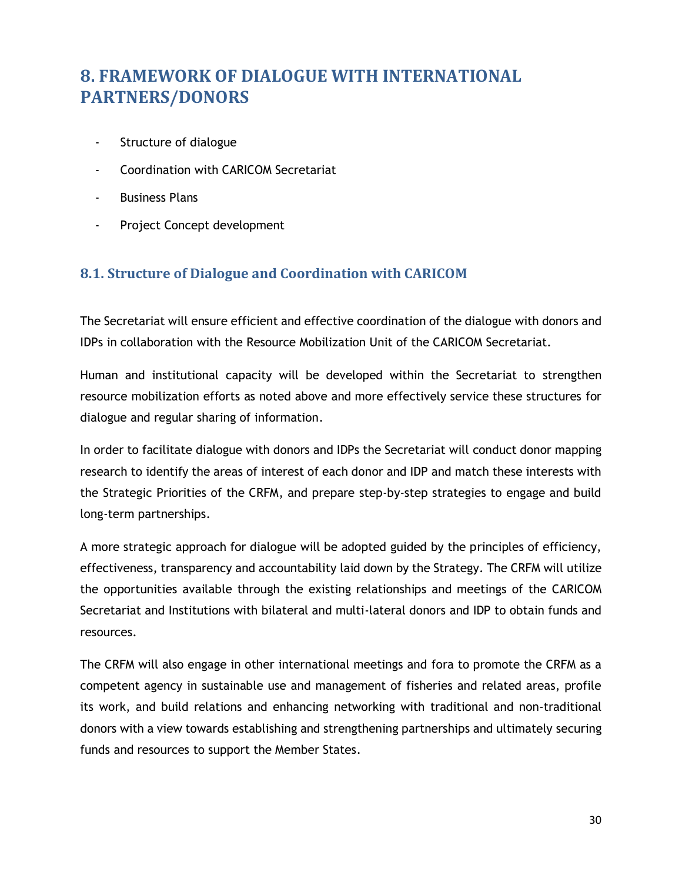# <span id="page-36-0"></span>**8. FRAMEWORK OF DIALOGUE WITH INTERNATIONAL PARTNERS/DONORS**

- Structure of dialogue
- Coordination with CARICOM Secretariat
- **Business Plans**
- Project Concept development

## <span id="page-36-1"></span>**8.1. Structure of Dialogue and Coordination with CARICOM**

The Secretariat will ensure efficient and effective coordination of the dialogue with donors and IDPs in collaboration with the Resource Mobilization Unit of the CARICOM Secretariat.

Human and institutional capacity will be developed within the Secretariat to strengthen resource mobilization efforts as noted above and more effectively service these structures for dialogue and regular sharing of information.

In order to facilitate dialogue with donors and IDPs the Secretariat will conduct donor mapping research to identify the areas of interest of each donor and IDP and match these interests with the Strategic Priorities of the CRFM, and prepare step-by-step strategies to engage and build long-term partnerships.

A more strategic approach for dialogue will be adopted guided by the principles of efficiency, effectiveness, transparency and accountability laid down by the Strategy. The CRFM will utilize the opportunities available through the existing relationships and meetings of the CARICOM Secretariat and Institutions with bilateral and multi-lateral donors and IDP to obtain funds and resources.

The CRFM will also engage in other international meetings and fora to promote the CRFM as a competent agency in sustainable use and management of fisheries and related areas, profile its work, and build relations and enhancing networking with traditional and non-traditional donors with a view towards establishing and strengthening partnerships and ultimately securing funds and resources to support the Member States.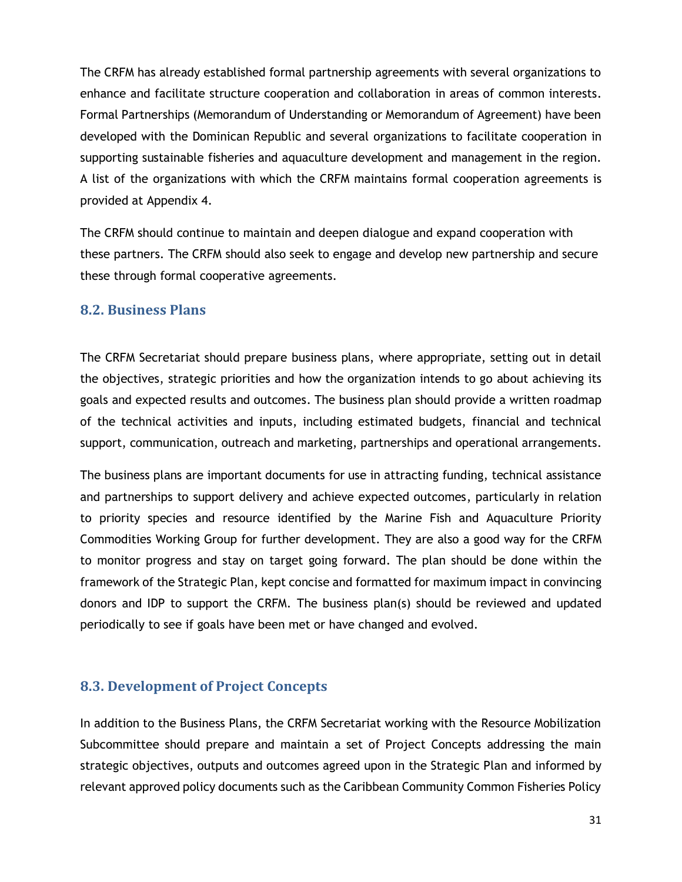The CRFM has already established formal partnership agreements with several organizations to enhance and facilitate structure cooperation and collaboration in areas of common interests. Formal Partnerships (Memorandum of Understanding or Memorandum of Agreement) have been developed with the Dominican Republic and several organizations to facilitate cooperation in supporting sustainable fisheries and aquaculture development and management in the region. A list of the organizations with which the CRFM maintains formal cooperation agreements is provided at Appendix 4.

The CRFM should continue to maintain and deepen dialogue and expand cooperation with these partners. The CRFM should also seek to engage and develop new partnership and secure these through formal cooperative agreements.

#### <span id="page-37-0"></span>**8.2. Business Plans**

The CRFM Secretariat should prepare business plans, where appropriate, setting out in detail the objectives, strategic priorities and how the organization intends to go about achieving its goals and expected results and outcomes. The business plan should provide a written roadmap of the technical activities and inputs, including estimated budgets, financial and technical support, communication, outreach and marketing, partnerships and operational arrangements.

The business plans are important documents for use in attracting funding, technical assistance and partnerships to support delivery and achieve expected outcomes, particularly in relation to priority species and resource identified by the Marine Fish and Aquaculture Priority Commodities Working Group for further development. They are also a good way for the CRFM to monitor progress and stay on target going forward. The plan should be done within the framework of the Strategic Plan, kept concise and formatted for maximum impact in convincing donors and IDP to support the CRFM. The business plan(s) should be reviewed and updated periodically to see if goals have been met or have changed and evolved.

## <span id="page-37-1"></span>**8.3. Development of Project Concepts**

In addition to the Business Plans, the CRFM Secretariat working with the Resource Mobilization Subcommittee should prepare and maintain a set of Project Concepts addressing the main strategic objectives, outputs and outcomes agreed upon in the Strategic Plan and informed by relevant approved policy documents such as the Caribbean Community Common Fisheries Policy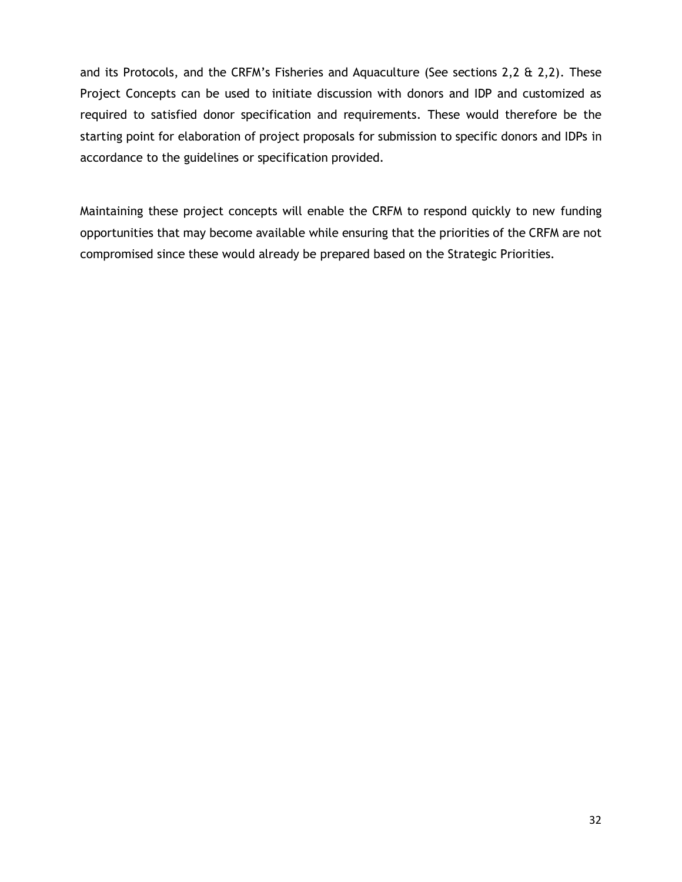and its Protocols, and the CRFM's Fisheries and Aquaculture (See sections 2,2 & 2,2). These Project Concepts can be used to initiate discussion with donors and IDP and customized as required to satisfied donor specification and requirements. These would therefore be the starting point for elaboration of project proposals for submission to specific donors and IDPs in accordance to the guidelines or specification provided.

Maintaining these project concepts will enable the CRFM to respond quickly to new funding opportunities that may become available while ensuring that the priorities of the CRFM are not compromised since these would already be prepared based on the Strategic Priorities.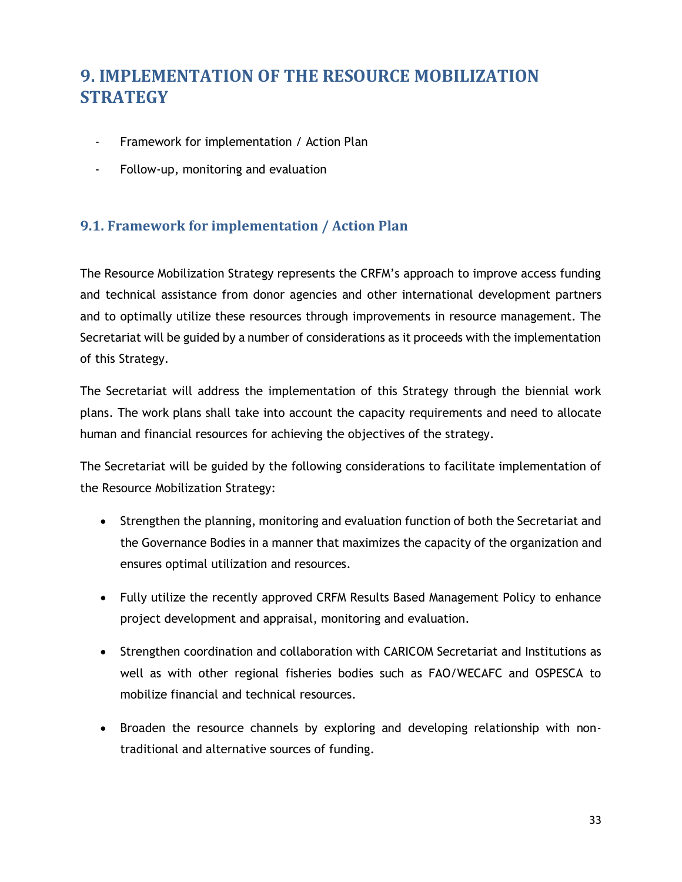# <span id="page-39-0"></span>**9. IMPLEMENTATION OF THE RESOURCE MOBILIZATION STRATEGY**

- Framework for implementation / Action Plan
- Follow-up, monitoring and evaluation

## <span id="page-39-1"></span>**9.1. Framework for implementation / Action Plan**

The Resource Mobilization Strategy represents the CRFM's approach to improve access funding and technical assistance from donor agencies and other international development partners and to optimally utilize these resources through improvements in resource management. The Secretariat will be guided by a number of considerations as it proceeds with the implementation of this Strategy.

The Secretariat will address the implementation of this Strategy through the biennial work plans. The work plans shall take into account the capacity requirements and need to allocate human and financial resources for achieving the objectives of the strategy.

The Secretariat will be guided by the following considerations to facilitate implementation of the Resource Mobilization Strategy:

- Strengthen the planning, monitoring and evaluation function of both the Secretariat and the Governance Bodies in a manner that maximizes the capacity of the organization and ensures optimal utilization and resources.
- Fully utilize the recently approved CRFM Results Based Management Policy to enhance project development and appraisal, monitoring and evaluation.
- Strengthen coordination and collaboration with CARICOM Secretariat and Institutions as well as with other regional fisheries bodies such as FAO/WECAFC and OSPESCA to mobilize financial and technical resources.
- Broaden the resource channels by exploring and developing relationship with nontraditional and alternative sources of funding.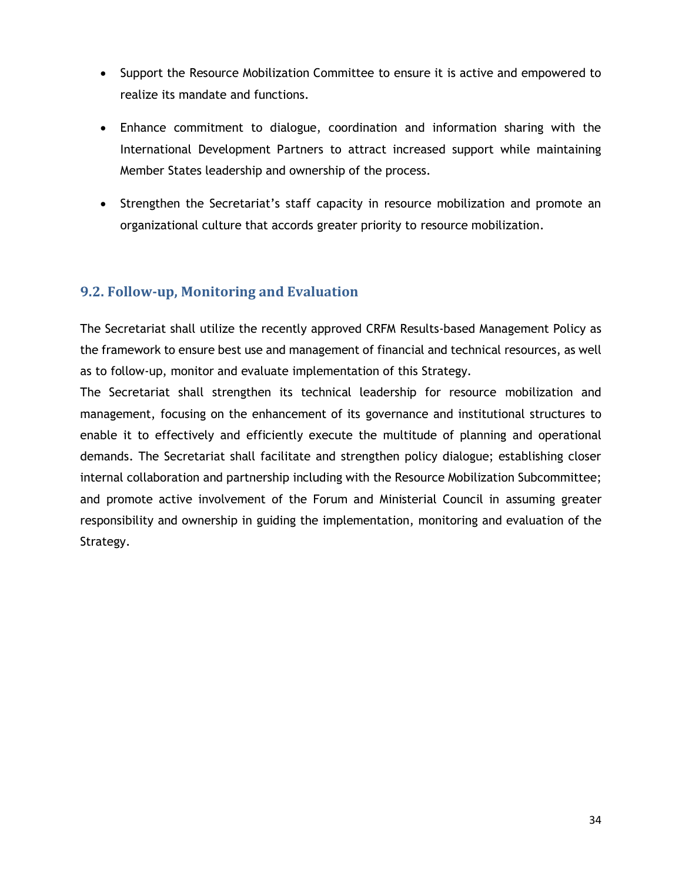- Support the Resource Mobilization Committee to ensure it is active and empowered to realize its mandate and functions.
- Enhance commitment to dialogue, coordination and information sharing with the International Development Partners to attract increased support while maintaining Member States leadership and ownership of the process.
- Strengthen the Secretariat's staff capacity in resource mobilization and promote an organizational culture that accords greater priority to resource mobilization.

## <span id="page-40-0"></span>**9.2. Follow-up, Monitoring and Evaluation**

The Secretariat shall utilize the recently approved CRFM Results-based Management Policy as the framework to ensure best use and management of financial and technical resources, as well as to follow-up, monitor and evaluate implementation of this Strategy.

The Secretariat shall strengthen its technical leadership for resource mobilization and management, focusing on the enhancement of its governance and institutional structures to enable it to effectively and efficiently execute the multitude of planning and operational demands. The Secretariat shall facilitate and strengthen policy dialogue; establishing closer internal collaboration and partnership including with the Resource Mobilization Subcommittee; and promote active involvement of the Forum and Ministerial Council in assuming greater responsibility and ownership in guiding the implementation, monitoring and evaluation of the Strategy.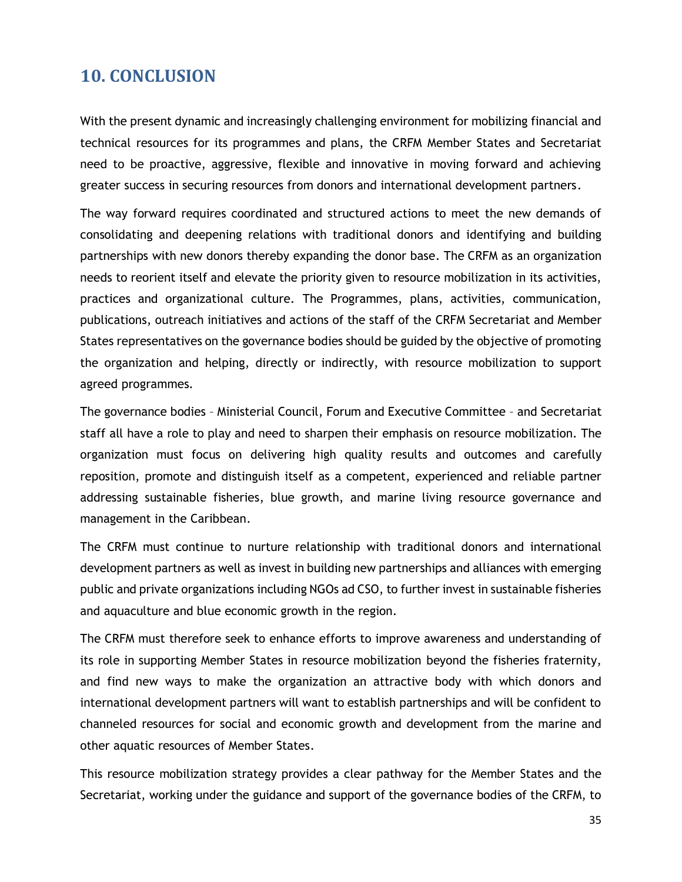## <span id="page-41-0"></span>**10. CONCLUSION**

With the present dynamic and increasingly challenging environment for mobilizing financial and technical resources for its programmes and plans, the CRFM Member States and Secretariat need to be proactive, aggressive, flexible and innovative in moving forward and achieving greater success in securing resources from donors and international development partners.

The way forward requires coordinated and structured actions to meet the new demands of consolidating and deepening relations with traditional donors and identifying and building partnerships with new donors thereby expanding the donor base. The CRFM as an organization needs to reorient itself and elevate the priority given to resource mobilization in its activities, practices and organizational culture. The Programmes, plans, activities, communication, publications, outreach initiatives and actions of the staff of the CRFM Secretariat and Member States representatives on the governance bodies should be guided by the objective of promoting the organization and helping, directly or indirectly, with resource mobilization to support agreed programmes.

The governance bodies – Ministerial Council, Forum and Executive Committee – and Secretariat staff all have a role to play and need to sharpen their emphasis on resource mobilization. The organization must focus on delivering high quality results and outcomes and carefully reposition, promote and distinguish itself as a competent, experienced and reliable partner addressing sustainable fisheries, blue growth, and marine living resource governance and management in the Caribbean.

The CRFM must continue to nurture relationship with traditional donors and international development partners as well as invest in building new partnerships and alliances with emerging public and private organizations including NGOs ad CSO, to further invest in sustainable fisheries and aquaculture and blue economic growth in the region.

The CRFM must therefore seek to enhance efforts to improve awareness and understanding of its role in supporting Member States in resource mobilization beyond the fisheries fraternity, and find new ways to make the organization an attractive body with which donors and international development partners will want to establish partnerships and will be confident to channeled resources for social and economic growth and development from the marine and other aquatic resources of Member States.

This resource mobilization strategy provides a clear pathway for the Member States and the Secretariat, working under the guidance and support of the governance bodies of the CRFM, to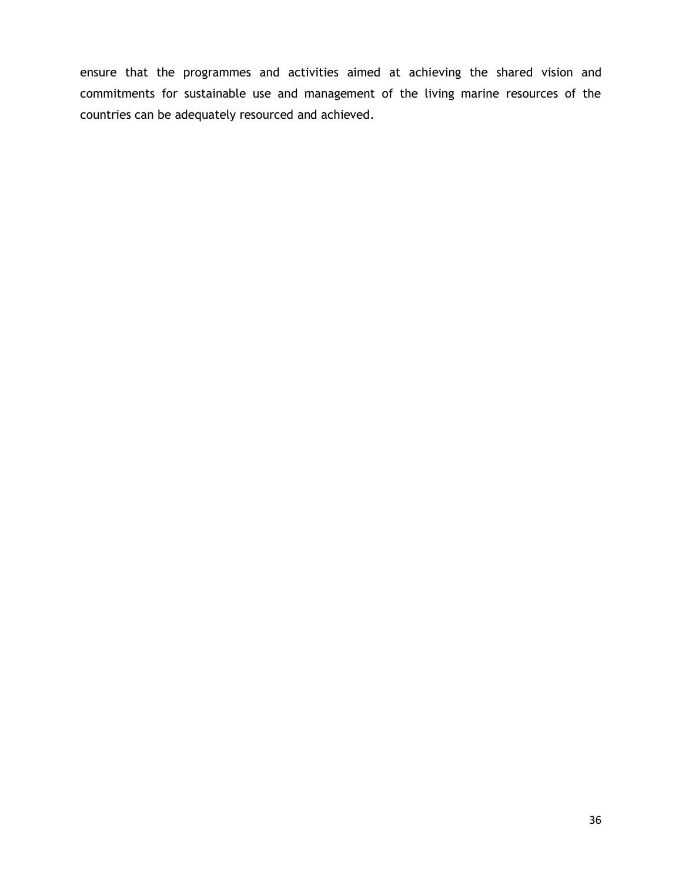ensure that the programmes and activities aimed at achieving the shared vision and commitments for sustainable use and management of the living marine resources of the countries can be adequately resourced and achieved.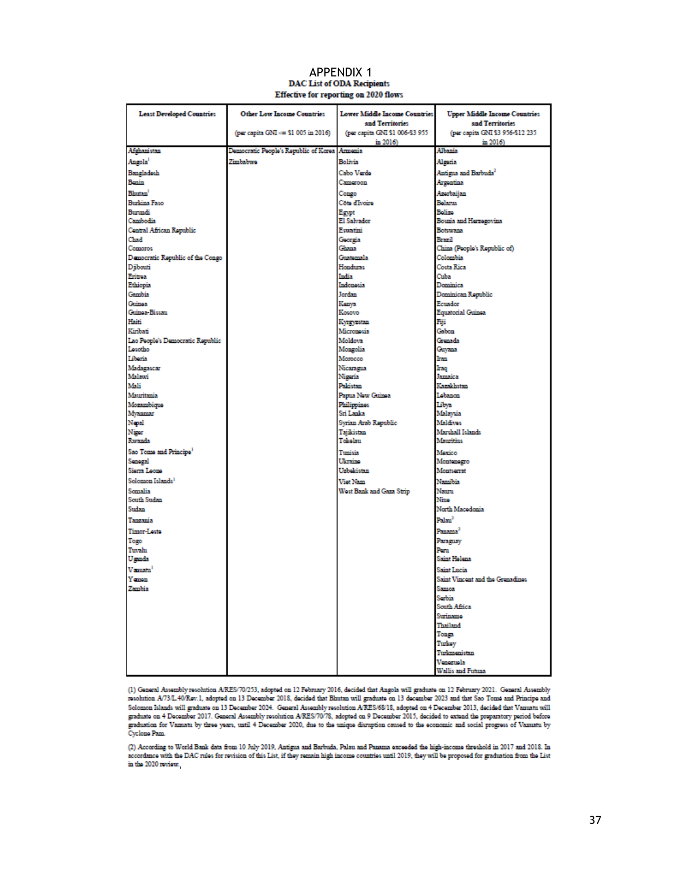## APPENDIX 1<br>DAC List of ODA Recipients Effective for reporting on 2020 flows

<span id="page-43-0"></span>

| <b>Least Developed Countries</b>   | <b>Other Low Income Countries</b>     | <b>Lower Middle Income Countries</b><br>and Territories | <b>Upper Middle Income Countries</b><br>and Territories |
|------------------------------------|---------------------------------------|---------------------------------------------------------|---------------------------------------------------------|
|                                    | (per capita GNI <= \$1 005 in 2016)   | (per capita GNI \$1 006-\$3 955                         | (per capita GNI \$3 956-\$12 235                        |
| Afghanistan                        | Democratic People's Republic of Korea | in 2016)<br>Amonia                                      | in 2016)<br>Albania                                     |
| Angola <sup>1</sup>                | Zimbabwe                              | Bolivia                                                 | Alseria                                                 |
| Bangladesh                         |                                       | Cabo Verdo                                              | Antigua and Barbuda <sup>2</sup>                        |
| Benin                              |                                       | Cameroon                                                | Argentina                                               |
| <b>Blutan</b>                      |                                       | Congo                                                   | Azerbaijan                                              |
| <b>Burkina Faso</b>                |                                       | Côte d'Ivoire                                           | Belarus                                                 |
| Burandi                            |                                       | Egypt                                                   | Belize                                                  |
| Cambodia                           |                                       | El Salvador                                             | Bosnia and Herzegovina                                  |
| Central African Republic           |                                       | <b>Equatini</b>                                         | Botswana                                                |
| Chad                               |                                       | Georgia                                                 | Brazil                                                  |
| Comoros                            |                                       | Ghana                                                   | China (People's Republic of)                            |
| Democratic Republic of the Congo   |                                       | Guanomala                                               | Colombia                                                |
| Diibouti                           |                                       | <b>Honduras</b>                                         | Costa Rica                                              |
| Eritrea<br>Ethiopia                |                                       | India<br>Indonesia                                      | Cuba<br>Dominica                                        |
| <b>Gambia</b>                      |                                       | Jordan                                                  | Dominican Republic                                      |
| Cuinea                             |                                       | Kenva                                                   | <b>Ecuador</b>                                          |
| Guinea-Bissau                      |                                       | Kosovo                                                  | <b>Equatorial Guinea</b>                                |
| Haiti                              |                                       | Kyrgyzstan                                              | Fiji                                                    |
| Kiribati                           |                                       | Micronosia                                              | Gabon                                                   |
| Lao People's Democratic Republic   |                                       | Moldova                                                 | Grenada                                                 |
| Losotho                            |                                       | Mongolia                                                | Gayana                                                  |
| Liberia                            |                                       | Morocco                                                 | Ina                                                     |
| Madagascar                         |                                       | Nicaragua                                               | Iraq<br><b>Jamaica</b>                                  |
| Malawi<br>Mali                     |                                       | Nisoria<br>Paldistan                                    | Kazakhstan                                              |
| Mauritania                         |                                       | Papua New Guinea                                        | Lebanon                                                 |
| Mozambique                         |                                       | <b>Philippines</b>                                      | Libva                                                   |
| Myanmar                            |                                       | Sri Lanka                                               | Malaysia                                                |
| Nepal                              |                                       | Syrian Arab Republic                                    | Maldives                                                |
| Nissa                              |                                       | Taiikistan                                              | Marshall Islands                                        |
| Rwanda                             |                                       | Tokolau                                                 | Mauritius                                               |
| Sao Tome and Principe <sup>1</sup> |                                       | Tunisia                                                 | Maxico                                                  |
| Senegal                            |                                       | Ukraine                                                 | Montenegro                                              |
| Siona Leone                        |                                       | Uzbekistan                                              | Montseerat                                              |
| Solomon Islands <sup>1</sup>       |                                       | Viet Nam                                                | Namibia                                                 |
| Somalia                            |                                       | West Bank and Gaza Strip                                | Nauru                                                   |
| South Sudan                        |                                       |                                                         | Nma                                                     |
| Sudan                              |                                       |                                                         | North Macodonia                                         |
| Tanzania                           |                                       |                                                         | Palau <sup>2</sup>                                      |
| <b>Timor-Leste</b>                 |                                       |                                                         | Panama <sup>2</sup>                                     |
| Togo                               |                                       |                                                         | Parasmay                                                |
| Tuvalu                             |                                       |                                                         | Pena                                                    |
| Usenda                             |                                       |                                                         | <b>Saint Holona</b>                                     |
| Vanuatu <sup>1</sup>               |                                       |                                                         | Saint Lucia                                             |
| Yemon                              |                                       |                                                         | Saint Vincent and the Grenadines                        |
| Zambia                             |                                       |                                                         | Samoa<br>Serbia                                         |
|                                    |                                       |                                                         | South Africa                                            |
|                                    |                                       |                                                         | Surinama                                                |
|                                    |                                       |                                                         | Thailand                                                |
|                                    |                                       |                                                         | Tonga                                                   |
|                                    |                                       |                                                         | Turkey                                                  |
|                                    |                                       |                                                         | Turkmenistan                                            |
|                                    |                                       |                                                         | Venormala                                               |
|                                    |                                       |                                                         | Wallis and Futuna                                       |

(1) General Assembly resolution ARES/70/253, adopted on 12 February 2016, decided that Angola will graduate on 12 February 2021. General Assembly<br>resolution A/73/L40/Rev.1, adopted on 13 December 2018, decided that Bhutan resolution A73/L-40/Rev.1, adopted on 13 December 2018, decided that Binitan will graduate on 13 december 2023 and that Sao Tome and Principe and Solomon Riands to all graduate on 13 December 2024. General Assembly resolut

(2) According to World Bank data from 10 July 2019, Antigua and Barbuda, Palau and Panama exceeded the high-income threshold in 2017 and 2018. In<br>accordance with the DAC rules for revision of this List, if they remain high in the 2020 review.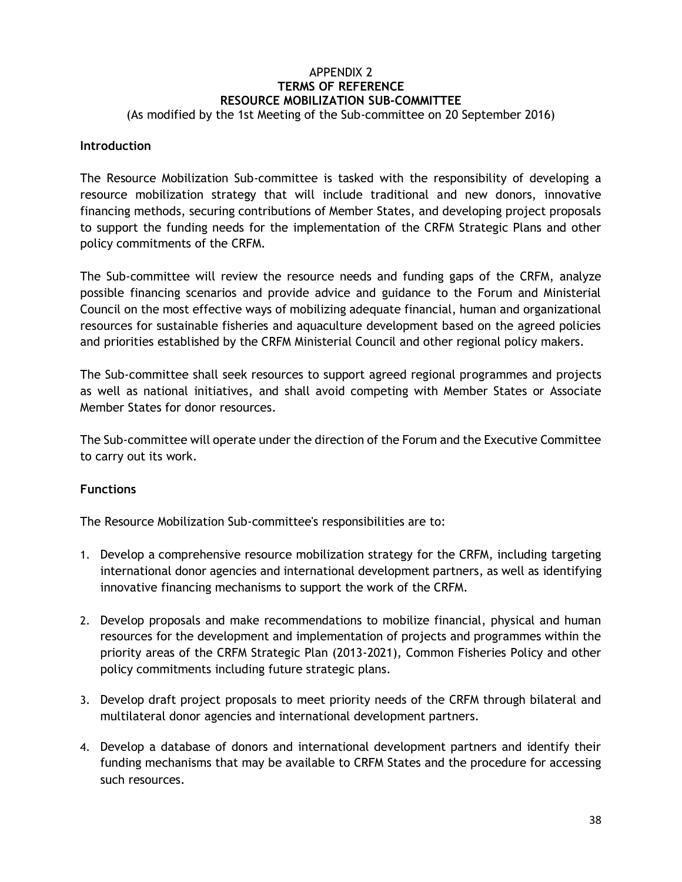## APPENDIX 2 **TERMS OF REFERENCE RESOURCE MOBILIZATION SUB-COMMITTEE**

#### <span id="page-44-0"></span>(As modified by the 1st Meeting of the Sub-committee on 20 September 2016)

#### **Introduction**

The Resource Mobilization Sub-committee is tasked with the responsibility of developing a resource mobilization strategy that will include traditional and new donors, innovative financing methods, securing contributions of Member States, and developing project proposals to support the funding needs for the implementation of the CRFM Strategic Plans and other policy commitments of the CRFM.

The Sub-committee will review the resource needs and funding gaps of the CRFM, analyze possible financing scenarios and provide advice and guidance to the Forum and Ministerial Council on the most effective ways of mobilizing adequate financial, human and organizational resources for sustainable fisheries and aquaculture development based on the agreed policies and priorities established by the CRFM Ministerial Council and other regional policy makers.

The Sub-committee shall seek resources to support agreed regional programmes and projects as well as national initiatives, and shall avoid competing with Member States or Associate Member States for donor resources.

The Sub-committee will operate under the direction of the Forum and the Executive Committee to carry out its work.

#### **Functions**

The Resource Mobilization Sub-committee's responsibilities are to:

- 1. Develop a comprehensive resource mobilization strategy for the CRFM, including targeting international donor agencies and international development partners, as well as identifying innovative financing mechanisms to support the work of the CRFM.
- 2. Develop proposals and make recommendations to mobilize financial, physical and human resources for the development and implementation of projects and programmes within the priority areas of the CRFM Strategic Plan (2013-2021), Common Fisheries Policy and other policy commitments including future strategic plans.
- 3. Develop draft project proposals to meet priority needs of the CRFM through bilateral and multilateral donor agencies and international development partners.
- 4. Develop a database of donors and international development partners and identify their funding mechanisms that may be available to CRFM States and the procedure for accessing such resources.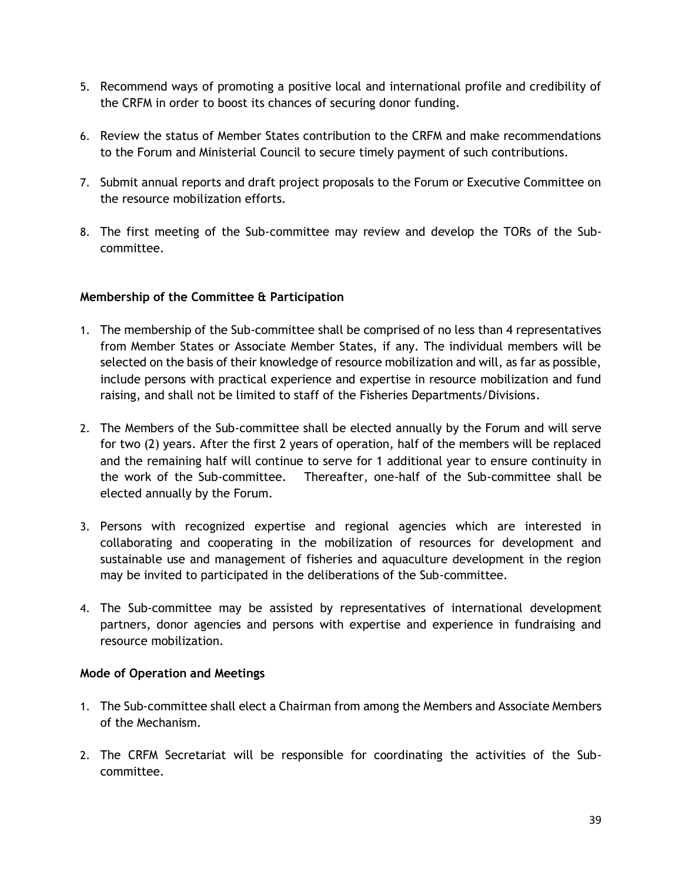- 5. Recommend ways of promoting a positive local and international profile and credibility of the CRFM in order to boost its chances of securing donor funding.
- 6. Review the status of Member States contribution to the CRFM and make recommendations to the Forum and Ministerial Council to secure timely payment of such contributions.
- 7. Submit annual reports and draft project proposals to the Forum or Executive Committee on the resource mobilization efforts.
- 8. The first meeting of the Sub-committee may review and develop the TORs of the Subcommittee.

#### **Membership of the Committee & Participation**

- 1. The membership of the Sub-committee shall be comprised of no less than 4 representatives from Member States or Associate Member States, if any. The individual members will be selected on the basis of their knowledge of resource mobilization and will, as far as possible, include persons with practical experience and expertise in resource mobilization and fund raising, and shall not be limited to staff of the Fisheries Departments/Divisions.
- 2. The Members of the Sub-committee shall be elected annually by the Forum and will serve for two (2) years. After the first 2 years of operation, half of the members will be replaced and the remaining half will continue to serve for 1 additional year to ensure continuity in the work of the Sub-committee. Thereafter, one-half of the Sub-committee shall be elected annually by the Forum.
- 3. Persons with recognized expertise and regional agencies which are interested in collaborating and cooperating in the mobilization of resources for development and sustainable use and management of fisheries and aquaculture development in the region may be invited to participated in the deliberations of the Sub-committee.
- 4. The Sub-committee may be assisted by representatives of international development partners, donor agencies and persons with expertise and experience in fundraising and resource mobilization.

#### **Mode of Operation and Meetings**

- 1. The Sub-committee shall elect a Chairman from among the Members and Associate Members of the Mechanism.
- 2. The CRFM Secretariat will be responsible for coordinating the activities of the Subcommittee.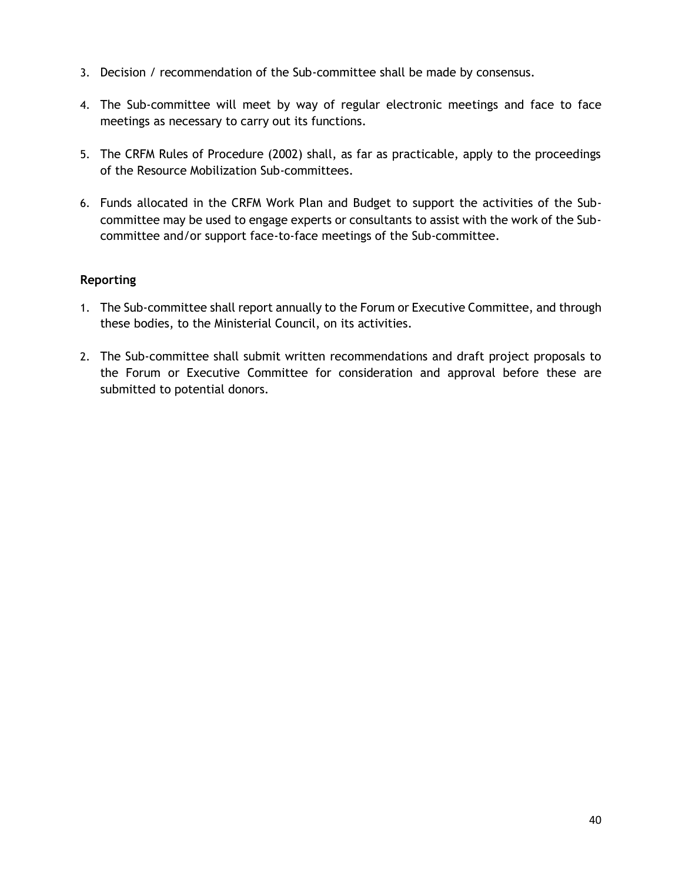- 3. Decision / recommendation of the Sub-committee shall be made by consensus.
- 4. The Sub-committee will meet by way of regular electronic meetings and face to face meetings as necessary to carry out its functions.
- 5. The CRFM Rules of Procedure (2002) shall, as far as practicable, apply to the proceedings of the Resource Mobilization Sub-committees.
- 6. Funds allocated in the CRFM Work Plan and Budget to support the activities of the Subcommittee may be used to engage experts or consultants to assist with the work of the Subcommittee and/or support face-to-face meetings of the Sub-committee.

#### **Reporting**

- 1. The Sub-committee shall report annually to the Forum or Executive Committee, and through these bodies, to the Ministerial Council, on its activities.
- 2. The Sub-committee shall submit written recommendations and draft project proposals to the Forum or Executive Committee for consideration and approval before these are submitted to potential donors.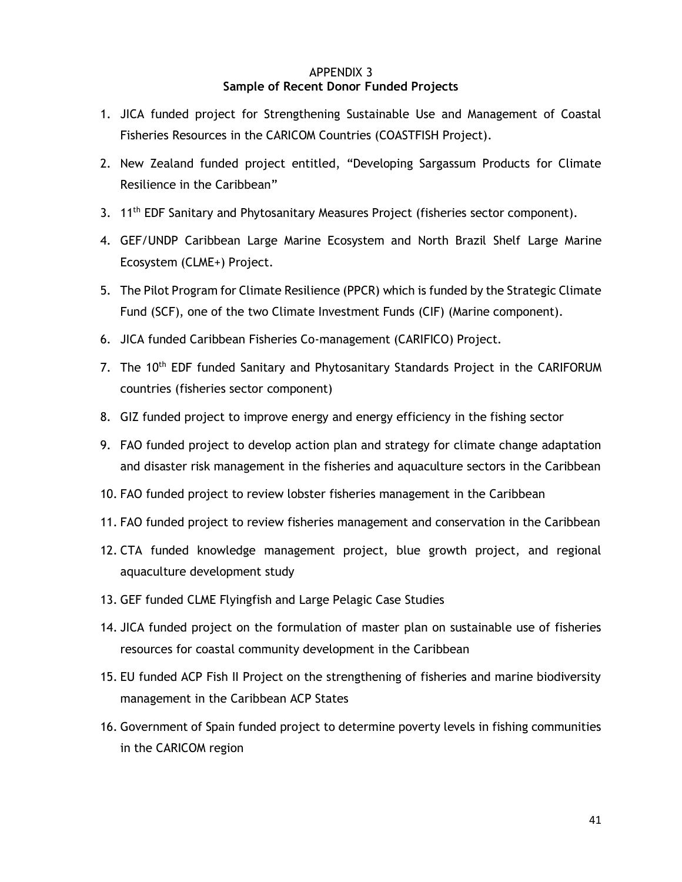#### APPENDIX 3 **Sample of Recent Donor Funded Projects**

- <span id="page-47-0"></span>1. JICA funded project for Strengthening Sustainable Use and Management of Coastal Fisheries Resources in the CARICOM Countries (COASTFISH Project).
- 2. New Zealand funded project entitled, "Developing Sargassum Products for Climate Resilience in the Caribbean"
- 3. 11<sup>th</sup> EDF Sanitary and Phytosanitary Measures Project (fisheries sector component).
- 4. GEF/UNDP Caribbean Large Marine Ecosystem and North Brazil Shelf Large Marine Ecosystem (CLME+) Project.
- 5. The Pilot Program for Climate Resilience (PPCR) which is funded by the Strategic Climate Fund (SCF), one of the two Climate Investment Funds (CIF) (Marine component).
- 6. JICA funded Caribbean Fisheries Co-management (CARIFICO) Project.
- 7. The 10<sup>th</sup> EDF funded Sanitary and Phytosanitary Standards Project in the CARIFORUM countries (fisheries sector component)
- 8. GIZ funded project to improve energy and energy efficiency in the fishing sector
- 9. FAO funded project to develop action plan and strategy for climate change adaptation and disaster risk management in the fisheries and aquaculture sectors in the Caribbean
- 10. FAO funded project to review lobster fisheries management in the Caribbean
- 11. FAO funded project to review fisheries management and conservation in the Caribbean
- 12. CTA funded knowledge management project, blue growth project, and regional aquaculture development study
- 13. GEF funded CLME Flyingfish and Large Pelagic Case Studies
- 14. JICA funded project on the formulation of master plan on sustainable use of fisheries resources for coastal community development in the Caribbean
- 15. EU funded ACP Fish II Project on the strengthening of fisheries and marine biodiversity management in the Caribbean ACP States
- 16. Government of Spain funded project to determine poverty levels in fishing communities in the CARICOM region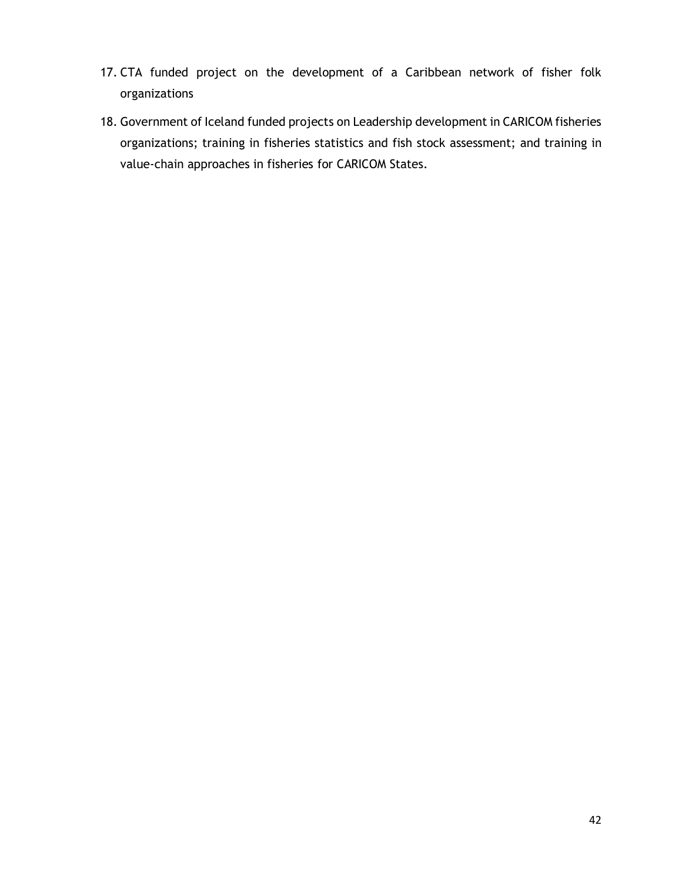- 17. CTA funded project on the development of a Caribbean network of fisher folk organizations
- 18. Government of Iceland funded projects on Leadership development in CARICOM fisheries organizations; training in fisheries statistics and fish stock assessment; and training in value-chain approaches in fisheries for CARICOM States.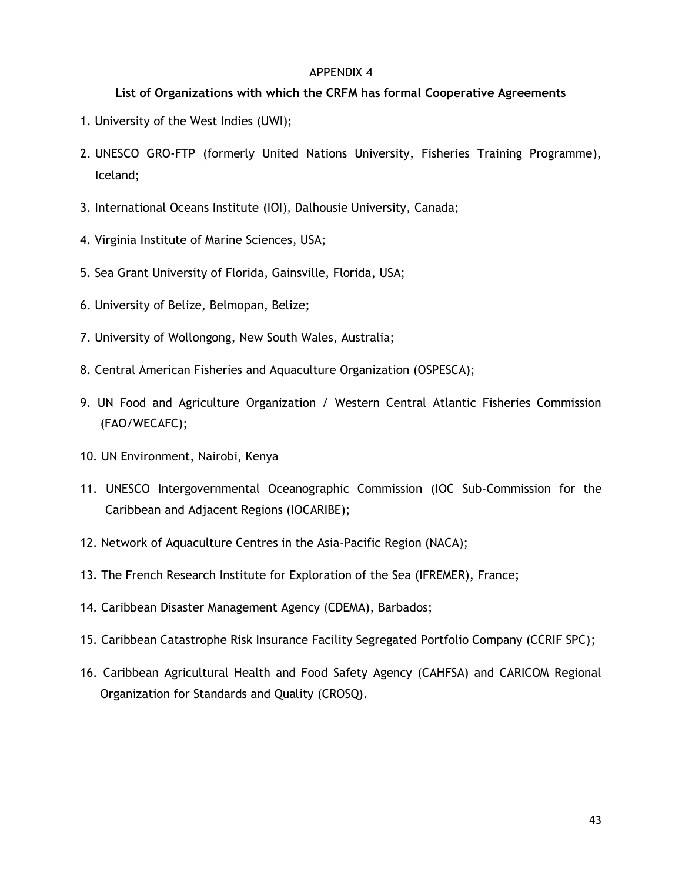#### APPENDIX 4

#### <span id="page-49-0"></span>**List of Organizations with which the CRFM has formal Cooperative Agreements**

- 1. University of the West Indies (UWI);
- 2. UNESCO GRO-FTP (formerly United Nations University, Fisheries Training Programme), Iceland;
- 3. International Oceans Institute (IOI), Dalhousie University, Canada;
- 4. Virginia Institute of Marine Sciences, USA;
- 5. Sea Grant University of Florida, Gainsville, Florida, USA;
- 6. University of Belize, Belmopan, Belize;
- 7. University of Wollongong, New South Wales, Australia;
- 8. Central American Fisheries and Aquaculture Organization (OSPESCA);
- 9. UN Food and Agriculture Organization / Western Central Atlantic Fisheries Commission (FAO/WECAFC);
- 10. UN Environment, Nairobi, Kenya
- 11. UNESCO Intergovernmental Oceanographic Commission (IOC Sub-Commission for the Caribbean and Adjacent Regions (IOCARIBE);
- 12. Network of Aquaculture Centres in the Asia-Pacific Region (NACA);
- 13. The French Research Institute for Exploration of the Sea (IFREMER), France;
- 14. Caribbean Disaster Management Agency (CDEMA), Barbados;
- 15. Caribbean Catastrophe Risk Insurance Facility Segregated Portfolio Company (CCRIF SPC);
- 16. Caribbean Agricultural Health and Food Safety Agency (CAHFSA) and CARICOM Regional Organization for Standards and Quality (CROSQ).